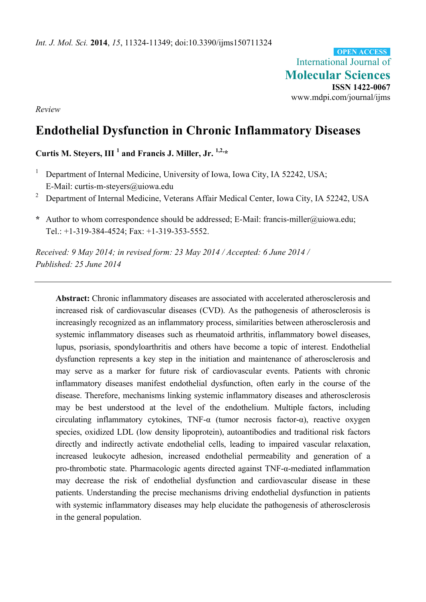International Journal of **Molecular Sciences ISSN 1422-0067**  www.mdpi.com/journal/ijms **OPEN ACCESS**

*Review* 

# **Endothelial Dysfunction in Chronic Inflammatory Diseases**

**Curtis M. Steyers, III <sup>1</sup> and Francis J. Miller, Jr. 1,2,\*** 

- 1 Department of Internal Medicine, University of Iowa, Iowa City, IA 52242, USA; E-Mail: curtis-m-steyers@uiowa.edu
- 2 Department of Internal Medicine, Veterans Affair Medical Center, Iowa City, IA 52242, USA
- **\*** Author to whom correspondence should be addressed; E-Mail: francis-miller@uiowa.edu; Tel.: +1-319-384-4524; Fax: +1-319-353-5552.

*Received: 9 May 2014; in revised form: 23 May 2014 / Accepted: 6 June 2014 / Published: 25 June 2014* 

**Abstract:** Chronic inflammatory diseases are associated with accelerated atherosclerosis and increased risk of cardiovascular diseases (CVD). As the pathogenesis of atherosclerosis is increasingly recognized as an inflammatory process, similarities between atherosclerosis and systemic inflammatory diseases such as rheumatoid arthritis, inflammatory bowel diseases, lupus, psoriasis, spondyloarthritis and others have become a topic of interest. Endothelial dysfunction represents a key step in the initiation and maintenance of atherosclerosis and may serve as a marker for future risk of cardiovascular events. Patients with chronic inflammatory diseases manifest endothelial dysfunction, often early in the course of the disease. Therefore, mechanisms linking systemic inflammatory diseases and atherosclerosis may be best understood at the level of the endothelium. Multiple factors, including circulating inflammatory cytokines, TNF-α (tumor necrosis factor-α), reactive oxygen species, oxidized LDL (low density lipoprotein), autoantibodies and traditional risk factors directly and indirectly activate endothelial cells, leading to impaired vascular relaxation, increased leukocyte adhesion, increased endothelial permeability and generation of a pro-thrombotic state. Pharmacologic agents directed against TNF-α-mediated inflammation may decrease the risk of endothelial dysfunction and cardiovascular disease in these patients. Understanding the precise mechanisms driving endothelial dysfunction in patients with systemic inflammatory diseases may help elucidate the pathogenesis of atherosclerosis in the general population.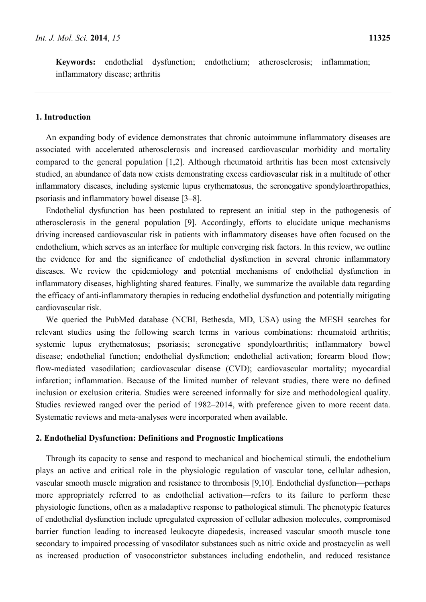**Keywords:** endothelial dysfunction; endothelium; atherosclerosis; inflammation; inflammatory disease; arthritis

## **1. Introduction**

An expanding body of evidence demonstrates that chronic autoimmune inflammatory diseases are associated with accelerated atherosclerosis and increased cardiovascular morbidity and mortality compared to the general population [1,2]. Although rheumatoid arthritis has been most extensively studied, an abundance of data now exists demonstrating excess cardiovascular risk in a multitude of other inflammatory diseases, including systemic lupus erythematosus, the seronegative spondyloarthropathies, psoriasis and inflammatory bowel disease [3–8].

Endothelial dysfunction has been postulated to represent an initial step in the pathogenesis of atherosclerosis in the general population [9]. Accordingly, efforts to elucidate unique mechanisms driving increased cardiovascular risk in patients with inflammatory diseases have often focused on the endothelium, which serves as an interface for multiple converging risk factors. In this review, we outline the evidence for and the significance of endothelial dysfunction in several chronic inflammatory diseases. We review the epidemiology and potential mechanisms of endothelial dysfunction in inflammatory diseases, highlighting shared features. Finally, we summarize the available data regarding the efficacy of anti-inflammatory therapies in reducing endothelial dysfunction and potentially mitigating cardiovascular risk.

We queried the PubMed database (NCBI, Bethesda, MD, USA) using the MESH searches for relevant studies using the following search terms in various combinations: rheumatoid arthritis; systemic lupus erythematosus; psoriasis; seronegative spondyloarthritis; inflammatory bowel disease; endothelial function; endothelial dysfunction; endothelial activation; forearm blood flow; flow-mediated vasodilation; cardiovascular disease (CVD); cardiovascular mortality; myocardial infarction; inflammation. Because of the limited number of relevant studies, there were no defined inclusion or exclusion criteria. Studies were screened informally for size and methodological quality. Studies reviewed ranged over the period of 1982–2014, with preference given to more recent data. Systematic reviews and meta-analyses were incorporated when available.

#### **2. Endothelial Dysfunction: Definitions and Prognostic Implications**

Through its capacity to sense and respond to mechanical and biochemical stimuli, the endothelium plays an active and critical role in the physiologic regulation of vascular tone, cellular adhesion, vascular smooth muscle migration and resistance to thrombosis [9,10]. Endothelial dysfunction—perhaps more appropriately referred to as endothelial activation—refers to its failure to perform these physiologic functions, often as a maladaptive response to pathological stimuli. The phenotypic features of endothelial dysfunction include upregulated expression of cellular adhesion molecules, compromised barrier function leading to increased leukocyte diapedesis, increased vascular smooth muscle tone secondary to impaired processing of vasodilator substances such as nitric oxide and prostacyclin as well as increased production of vasoconstrictor substances including endothelin, and reduced resistance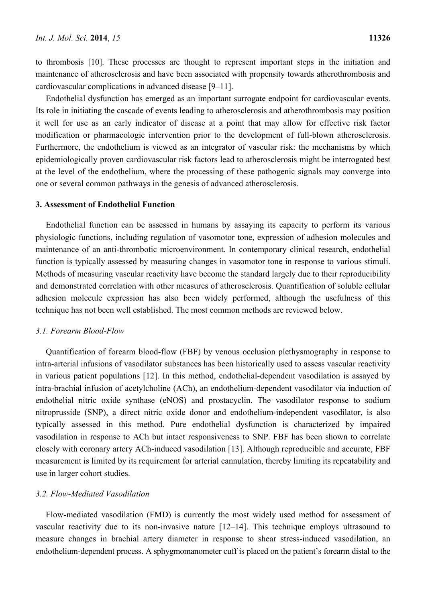to thrombosis [10]. These processes are thought to represent important steps in the initiation and maintenance of atherosclerosis and have been associated with propensity towards atherothrombosis and cardiovascular complications in advanced disease [9–11].

Endothelial dysfunction has emerged as an important surrogate endpoint for cardiovascular events. Its role in initiating the cascade of events leading to atherosclerosis and atherothrombosis may position it well for use as an early indicator of disease at a point that may allow for effective risk factor modification or pharmacologic intervention prior to the development of full-blown atherosclerosis. Furthermore, the endothelium is viewed as an integrator of vascular risk: the mechanisms by which epidemiologically proven cardiovascular risk factors lead to atherosclerosis might be interrogated best at the level of the endothelium, where the processing of these pathogenic signals may converge into one or several common pathways in the genesis of advanced atherosclerosis.

## **3. Assessment of Endothelial Function**

Endothelial function can be assessed in humans by assaying its capacity to perform its various physiologic functions, including regulation of vasomotor tone, expression of adhesion molecules and maintenance of an anti-thrombotic microenvironment. In contemporary clinical research, endothelial function is typically assessed by measuring changes in vasomotor tone in response to various stimuli. Methods of measuring vascular reactivity have become the standard largely due to their reproducibility and demonstrated correlation with other measures of atherosclerosis. Quantification of soluble cellular adhesion molecule expression has also been widely performed, although the usefulness of this technique has not been well established. The most common methods are reviewed below.

#### *3.1. Forearm Blood-Flow*

Quantification of forearm blood-flow (FBF) by venous occlusion plethysmography in response to intra-arterial infusions of vasodilator substances has been historically used to assess vascular reactivity in various patient populations [12]. In this method, endothelial-dependent vasodilation is assayed by intra-brachial infusion of acetylcholine (ACh), an endothelium-dependent vasodilator via induction of endothelial nitric oxide synthase (eNOS) and prostacyclin. The vasodilator response to sodium nitroprusside (SNP), a direct nitric oxide donor and endothelium-independent vasodilator, is also typically assessed in this method. Pure endothelial dysfunction is characterized by impaired vasodilation in response to ACh but intact responsiveness to SNP. FBF has been shown to correlate closely with coronary artery ACh-induced vasodilation [13]. Although reproducible and accurate, FBF measurement is limited by its requirement for arterial cannulation, thereby limiting its repeatability and use in larger cohort studies.

## *3.2. Flow-Mediated Vasodilation*

Flow-mediated vasodilation (FMD) is currently the most widely used method for assessment of vascular reactivity due to its non-invasive nature [12–14]. This technique employs ultrasound to measure changes in brachial artery diameter in response to shear stress-induced vasodilation, an endothelium-dependent process. A sphygmomanometer cuff is placed on the patient's forearm distal to the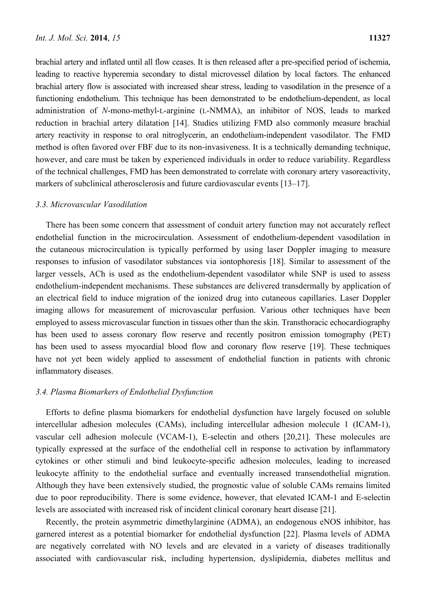brachial artery and inflated until all flow ceases. It is then released after a pre-specified period of ischemia, leading to reactive hyperemia secondary to distal microvessel dilation by local factors. The enhanced brachial artery flow is associated with increased shear stress, leading to vasodilation in the presence of a functioning endothelium. This technique has been demonstrated to be endothelium-dependent, as local administration of *N*-mono-methyl-L-arginine (L-NMMA), an inhibitor of NOS, leads to marked reduction in brachial artery dilatation [14]. Studies utilizing FMD also commonly measure brachial artery reactivity in response to oral nitroglycerin, an endothelium-independent vasodilator. The FMD method is often favored over FBF due to its non-invasiveness. It is a technically demanding technique, however, and care must be taken by experienced individuals in order to reduce variability. Regardless of the technical challenges, FMD has been demonstrated to correlate with coronary artery vasoreactivity, markers of subclinical atherosclerosis and future cardiovascular events [13–17].

## *3.3. Microvascular Vasodilation*

There has been some concern that assessment of conduit artery function may not accurately reflect endothelial function in the microcirculation. Assessment of endothelium-dependent vasodilation in the cutaneous microcirculation is typically performed by using laser Doppler imaging to measure responses to infusion of vasodilator substances via iontophoresis [18]. Similar to assessment of the larger vessels, ACh is used as the endothelium-dependent vasodilator while SNP is used to assess endothelium-independent mechanisms. These substances are delivered transdermally by application of an electrical field to induce migration of the ionized drug into cutaneous capillaries. Laser Doppler imaging allows for measurement of microvascular perfusion. Various other techniques have been employed to assess microvascular function in tissues other than the skin. Transthoracic echocardiography has been used to assess coronary flow reserve and recently positron emission tomography (PET) has been used to assess myocardial blood flow and coronary flow reserve [19]. These techniques have not yet been widely applied to assessment of endothelial function in patients with chronic inflammatory diseases.

## *3.4. Plasma Biomarkers of Endothelial Dysfunction*

Efforts to define plasma biomarkers for endothelial dysfunction have largely focused on soluble intercellular adhesion molecules (CAMs), including intercellular adhesion molecule 1 (ICAM-1), vascular cell adhesion molecule (VCAM-1), E-selectin and others [20,21]. These molecules are typically expressed at the surface of the endothelial cell in response to activation by inflammatory cytokines or other stimuli and bind leukocyte-specific adhesion molecules, leading to increased leukocyte affinity to the endothelial surface and eventually increased transendothelial migration. Although they have been extensively studied, the prognostic value of soluble CAMs remains limited due to poor reproducibility. There is some evidence, however, that elevated ICAM-1 and E-selectin levels are associated with increased risk of incident clinical coronary heart disease [21].

Recently, the protein asymmetric dimethylarginine (ADMA), an endogenous eNOS inhibitor, has garnered interest as a potential biomarker for endothelial dysfunction [22]. Plasma levels of ADMA are negatively correlated with NO levels and are elevated in a variety of diseases traditionally associated with cardiovascular risk, including hypertension, dyslipidemia, diabetes mellitus and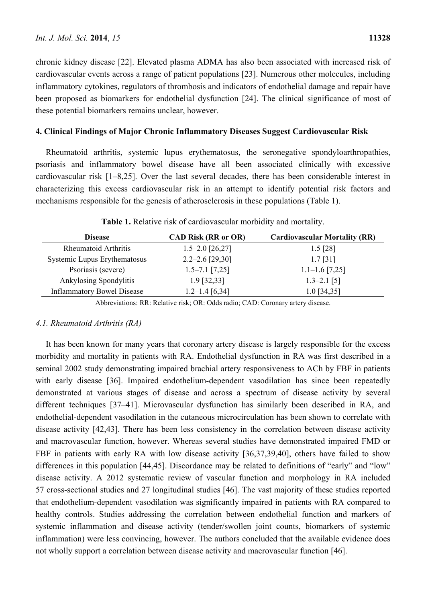chronic kidney disease [22]. Elevated plasma ADMA has also been associated with increased risk of cardiovascular events across a range of patient populations [23]. Numerous other molecules, including inflammatory cytokines, regulators of thrombosis and indicators of endothelial damage and repair have been proposed as biomarkers for endothelial dysfunction [24]. The clinical significance of most of these potential biomarkers remains unclear, however.

## **4. Clinical Findings of Major Chronic Inflammatory Diseases Suggest Cardiovascular Risk**

Rheumatoid arthritis, systemic lupus erythematosus, the seronegative spondyloarthropathies, psoriasis and inflammatory bowel disease have all been associated clinically with excessive cardiovascular risk [1–8,25]. Over the last several decades, there has been considerable interest in characterizing this excess cardiovascular risk in an attempt to identify potential risk factors and mechanisms responsible for the genesis of atherosclerosis in these populations (Table 1).

| <b>CAD Risk (RR or OR)</b> | <b>Cardiovascular Mortality (RR)</b> |
|----------------------------|--------------------------------------|
| $1.5 - 2.0$ [26,27]        | $1.5$ [28]                           |
| $2.2 - 2.6$ [29,30]        | $1.7$ [31]                           |
| $1.5 - 7.1$ [7,25]         | $1.1 - 1.6$ [7,25]                   |
| $1.9$ [32,33]              | $1.3 - 2.1$ [5]                      |
| $1.2 - 1.4$ [6,34]         | $1.0$ [34,35]                        |
|                            |                                      |

**Table 1.** Relative risk of cardiovascular morbidity and mortality.

Abbreviations: RR: Relative risk; OR: Odds radio; CAD: Coronary artery disease.

## *4.1. Rheumatoid Arthritis (RA)*

It has been known for many years that coronary artery disease is largely responsible for the excess morbidity and mortality in patients with RA. Endothelial dysfunction in RA was first described in a seminal 2002 study demonstrating impaired brachial artery responsiveness to ACh by FBF in patients with early disease [36]. Impaired endothelium-dependent vasodilation has since been repeatedly demonstrated at various stages of disease and across a spectrum of disease activity by several different techniques [37–41]. Microvascular dysfunction has similarly been described in RA, and endothelial-dependent vasodilation in the cutaneous microcirculation has been shown to correlate with disease activity [42,43]. There has been less consistency in the correlation between disease activity and macrovascular function, however. Whereas several studies have demonstrated impaired FMD or FBF in patients with early RA with low disease activity [36,37,39,40], others have failed to show differences in this population [44,45]. Discordance may be related to definitions of "early" and "low" disease activity. A 2012 systematic review of vascular function and morphology in RA included 57 cross-sectional studies and 27 longitudinal studies [46]. The vast majority of these studies reported that endothelium-dependent vasodilation was significantly impaired in patients with RA compared to healthy controls. Studies addressing the correlation between endothelial function and markers of systemic inflammation and disease activity (tender/swollen joint counts, biomarkers of systemic inflammation) were less convincing, however. The authors concluded that the available evidence does not wholly support a correlation between disease activity and macrovascular function [46].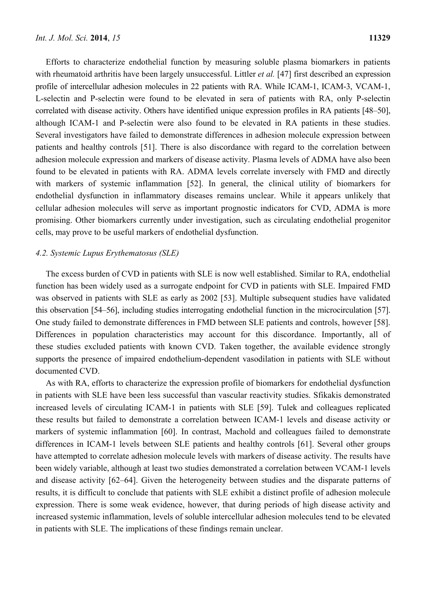Efforts to characterize endothelial function by measuring soluble plasma biomarkers in patients with rheumatoid arthritis have been largely unsuccessful. Littler *et al.* [47] first described an expression profile of intercellular adhesion molecules in 22 patients with RA. While ICAM-1, ICAM-3, VCAM-1, L-selectin and P-selectin were found to be elevated in sera of patients with RA, only P-selectin correlated with disease activity. Others have identified unique expression profiles in RA patients [48–50], although ICAM-1 and P-selectin were also found to be elevated in RA patients in these studies. Several investigators have failed to demonstrate differences in adhesion molecule expression between patients and healthy controls [51]. There is also discordance with regard to the correlation between adhesion molecule expression and markers of disease activity. Plasma levels of ADMA have also been found to be elevated in patients with RA. ADMA levels correlate inversely with FMD and directly with markers of systemic inflammation [52]. In general, the clinical utility of biomarkers for endothelial dysfunction in inflammatory diseases remains unclear. While it appears unlikely that cellular adhesion molecules will serve as important prognostic indicators for CVD, ADMA is more promising. Other biomarkers currently under investigation, such as circulating endothelial progenitor cells, may prove to be useful markers of endothelial dysfunction.

## *4.2. Systemic Lupus Erythematosus (SLE)*

The excess burden of CVD in patients with SLE is now well established. Similar to RA, endothelial function has been widely used as a surrogate endpoint for CVD in patients with SLE. Impaired FMD was observed in patients with SLE as early as 2002 [53]. Multiple subsequent studies have validated this observation [54–56], including studies interrogating endothelial function in the microcirculation [57]. One study failed to demonstrate differences in FMD between SLE patients and controls, however [58]. Differences in population characteristics may account for this discordance. Importantly, all of these studies excluded patients with known CVD. Taken together, the available evidence strongly supports the presence of impaired endothelium-dependent vasodilation in patients with SLE without documented CVD.

As with RA, efforts to characterize the expression profile of biomarkers for endothelial dysfunction in patients with SLE have been less successful than vascular reactivity studies. Sfikakis demonstrated increased levels of circulating ICAM-1 in patients with SLE [59]. Tulek and colleagues replicated these results but failed to demonstrate a correlation between ICAM-1 levels and disease activity or markers of systemic inflammation [60]. In contrast, Machold and colleagues failed to demonstrate differences in ICAM-1 levels between SLE patients and healthy controls [61]. Several other groups have attempted to correlate adhesion molecule levels with markers of disease activity. The results have been widely variable, although at least two studies demonstrated a correlation between VCAM-1 levels and disease activity [62–64]. Given the heterogeneity between studies and the disparate patterns of results, it is difficult to conclude that patients with SLE exhibit a distinct profile of adhesion molecule expression. There is some weak evidence, however, that during periods of high disease activity and increased systemic inflammation, levels of soluble intercellular adhesion molecules tend to be elevated in patients with SLE. The implications of these findings remain unclear.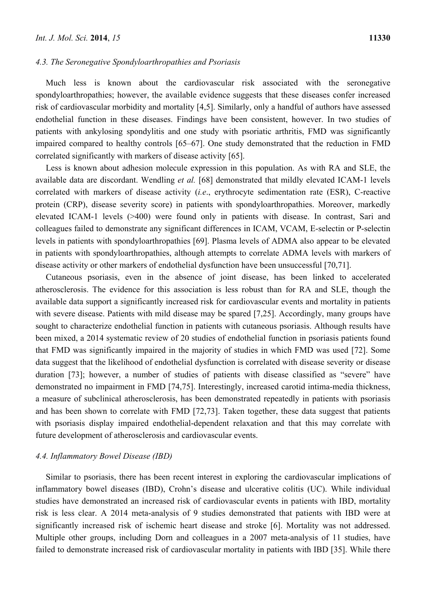## *4.3. The Seronegative Spondyloarthropathies and Psoriasis*

Much less is known about the cardiovascular risk associated with the seronegative spondyloarthropathies; however, the available evidence suggests that these diseases confer increased risk of cardiovascular morbidity and mortality [4,5]. Similarly, only a handful of authors have assessed endothelial function in these diseases. Findings have been consistent, however. In two studies of patients with ankylosing spondylitis and one study with psoriatic arthritis, FMD was significantly impaired compared to healthy controls [65–67]. One study demonstrated that the reduction in FMD correlated significantly with markers of disease activity [65].

Less is known about adhesion molecule expression in this population. As with RA and SLE, the available data are discordant. Wendling *et al.* [68] demonstrated that mildly elevated ICAM-1 levels correlated with markers of disease activity (*i.e*., erythrocyte sedimentation rate (ESR), C-reactive protein (CRP), disease severity score) in patients with spondyloarthropathies. Moreover, markedly elevated ICAM-1 levels (>400) were found only in patients with disease. In contrast, Sari and colleagues failed to demonstrate any significant differences in ICAM, VCAM, E-selectin or P-selectin levels in patients with spondyloarthropathies [69]. Plasma levels of ADMA also appear to be elevated in patients with spondyloarthropathies, although attempts to correlate ADMA levels with markers of disease activity or other markers of endothelial dysfunction have been unsuccessful [70,71].

Cutaneous psoriasis, even in the absence of joint disease, has been linked to accelerated atherosclerosis. The evidence for this association is less robust than for RA and SLE, though the available data support a significantly increased risk for cardiovascular events and mortality in patients with severe disease. Patients with mild disease may be spared [7,25]. Accordingly, many groups have sought to characterize endothelial function in patients with cutaneous psoriasis. Although results have been mixed, a 2014 systematic review of 20 studies of endothelial function in psoriasis patients found that FMD was significantly impaired in the majority of studies in which FMD was used [72]. Some data suggest that the likelihood of endothelial dysfunction is correlated with disease severity or disease duration [73]; however, a number of studies of patients with disease classified as "severe" have demonstrated no impairment in FMD [74,75]. Interestingly, increased carotid intima-media thickness, a measure of subclinical atherosclerosis, has been demonstrated repeatedly in patients with psoriasis and has been shown to correlate with FMD [72,73]. Taken together, these data suggest that patients with psoriasis display impaired endothelial-dependent relaxation and that this may correlate with future development of atherosclerosis and cardiovascular events.

## *4.4. Inflammatory Bowel Disease (IBD)*

Similar to psoriasis, there has been recent interest in exploring the cardiovascular implications of inflammatory bowel diseases (IBD), Crohn's disease and ulcerative colitis (UC). While individual studies have demonstrated an increased risk of cardiovascular events in patients with IBD, mortality risk is less clear. A 2014 meta-analysis of 9 studies demonstrated that patients with IBD were at significantly increased risk of ischemic heart disease and stroke [6]. Mortality was not addressed. Multiple other groups, including Dorn and colleagues in a 2007 meta-analysis of 11 studies, have failed to demonstrate increased risk of cardiovascular mortality in patients with IBD [35]. While there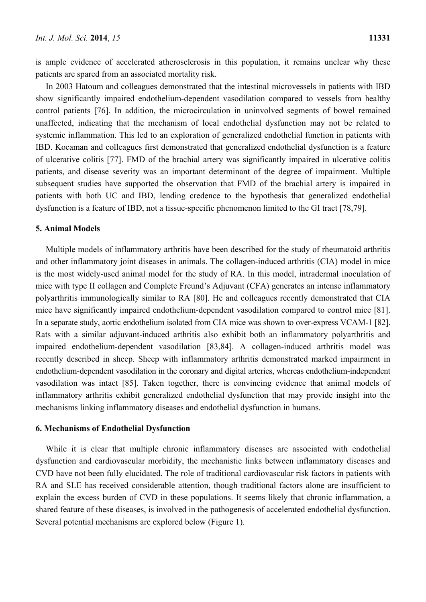is ample evidence of accelerated atherosclerosis in this population, it remains unclear why these patients are spared from an associated mortality risk.

In 2003 Hatoum and colleagues demonstrated that the intestinal microvessels in patients with IBD show significantly impaired endothelium-dependent vasodilation compared to vessels from healthy control patients [76]. In addition, the microcirculation in uninvolved segments of bowel remained unaffected, indicating that the mechanism of local endothelial dysfunction may not be related to systemic inflammation. This led to an exploration of generalized endothelial function in patients with IBD. Kocaman and colleagues first demonstrated that generalized endothelial dysfunction is a feature of ulcerative colitis [77]. FMD of the brachial artery was significantly impaired in ulcerative colitis patients, and disease severity was an important determinant of the degree of impairment. Multiple subsequent studies have supported the observation that FMD of the brachial artery is impaired in patients with both UC and IBD, lending credence to the hypothesis that generalized endothelial dysfunction is a feature of IBD, not a tissue-specific phenomenon limited to the GI tract [78,79].

#### **5. Animal Models**

Multiple models of inflammatory arthritis have been described for the study of rheumatoid arthritis and other inflammatory joint diseases in animals. The collagen-induced arthritis (CIA) model in mice is the most widely-used animal model for the study of RA. In this model, intradermal inoculation of mice with type II collagen and Complete Freund's Adjuvant (CFA) generates an intense inflammatory polyarthritis immunologically similar to RA [80]. He and colleagues recently demonstrated that CIA mice have significantly impaired endothelium-dependent vasodilation compared to control mice [81]. In a separate study, aortic endothelium isolated from CIA mice was shown to over-express VCAM-1 [82]. Rats with a similar adjuvant-induced arthritis also exhibit both an inflammatory polyarthritis and impaired endothelium-dependent vasodilation [83,84]. A collagen-induced arthritis model was recently described in sheep. Sheep with inflammatory arthritis demonstrated marked impairment in endothelium-dependent vasodilation in the coronary and digital arteries, whereas endothelium-independent vasodilation was intact [85]. Taken together, there is convincing evidence that animal models of inflammatory arthritis exhibit generalized endothelial dysfunction that may provide insight into the mechanisms linking inflammatory diseases and endothelial dysfunction in humans.

## **6. Mechanisms of Endothelial Dysfunction**

While it is clear that multiple chronic inflammatory diseases are associated with endothelial dysfunction and cardiovascular morbidity, the mechanistic links between inflammatory diseases and CVD have not been fully elucidated. The role of traditional cardiovascular risk factors in patients with RA and SLE has received considerable attention, though traditional factors alone are insufficient to explain the excess burden of CVD in these populations. It seems likely that chronic inflammation, a shared feature of these diseases, is involved in the pathogenesis of accelerated endothelial dysfunction. Several potential mechanisms are explored below (Figure 1).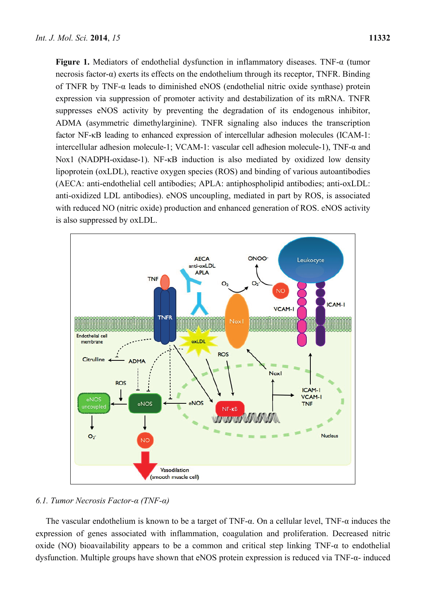**Figure 1.** Mediators of endothelial dysfunction in inflammatory diseases. TNF-α (tumor necrosis factor-α) exerts its effects on the endothelium through its receptor, TNFR. Binding of TNFR by TNF- $\alpha$  leads to diminished eNOS (endothelial nitric oxide synthase) protein expression via suppression of promoter activity and destabilization of its mRNA. TNFR suppresses eNOS activity by preventing the degradation of its endogenous inhibitor, ADMA (asymmetric dimethylarginine). TNFR signaling also induces the transcription factor NF-κB leading to enhanced expression of intercellular adhesion molecules (ICAM-1: intercellular adhesion molecule-1; VCAM-1: vascular cell adhesion molecule-1), TNF-α and Nox1 (NADPH-oxidase-1). NF-κB induction is also mediated by oxidized low density lipoprotein (oxLDL), reactive oxygen species (ROS) and binding of various autoantibodies (AECA: anti-endothelial cell antibodies; APLA: antiphospholipid antibodies; anti-oxLDL: anti-oxidized LDL antibodies). eNOS uncoupling, mediated in part by ROS, is associated with reduced NO (nitric oxide) production and enhanced generation of ROS. eNOS activity is also suppressed by oxLDL.



## *6.1. Tumor Necrosis Factor-α (TNF-α)*

The vascular endothelium is known to be a target of TNF- $\alpha$ . On a cellular level, TNF- $\alpha$  induces the expression of genes associated with inflammation, coagulation and proliferation. Decreased nitric oxide (NO) bioavailability appears to be a common and critical step linking TNF- $\alpha$  to endothelial dysfunction. Multiple groups have shown that eNOS protein expression is reduced via TNF-α- induced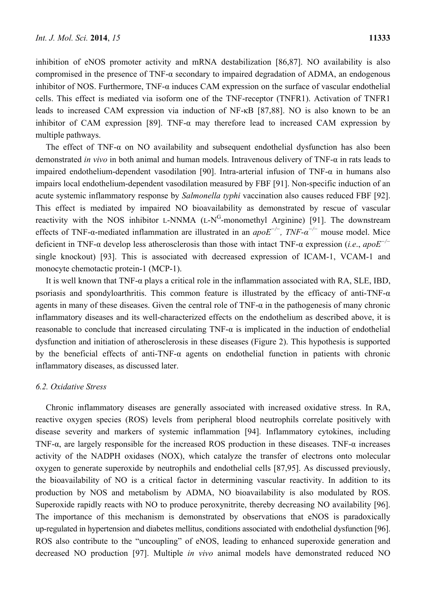inhibition of eNOS promoter activity and mRNA destabilization [86,87]. NO availability is also compromised in the presence of TNF-α secondary to impaired degradation of ADMA, an endogenous inhibitor of NOS. Furthermore, TNF-α induces CAM expression on the surface of vascular endothelial cells. This effect is mediated via isoform one of the TNF-receptor (TNFR1). Activation of TNFR1 leads to increased CAM expression via induction of NF-κB [87,88]. NO is also known to be an inhibitor of CAM expression [89]. TNF-α may therefore lead to increased CAM expression by multiple pathways.

The effect of TNF- $\alpha$  on NO availability and subsequent endothelial dysfunction has also been demonstrated *in vivo* in both animal and human models. Intravenous delivery of TNF-α in rats leads to impaired endothelium-dependent vasodilation [90]. Intra-arterial infusion of TNF-α in humans also impairs local endothelium-dependent vasodilation measured by FBF [91]. Non-specific induction of an acute systemic inflammatory response by *Salmonella typhi* vaccination also causes reduced FBF [92]. This effect is mediated by impaired NO bioavailability as demonstrated by rescue of vascular reactivity with the NOS inhibitor L-NNMA  $(L-N^G$ -monomethyl Arginine) [91]. The downstream effects of TNF-α-mediated inflammation are illustrated in an *apoE<sup>−</sup>/<sup>−</sup> , TNF-α<sup>−</sup>/<sup>−</sup>* mouse model. Mice deficient in TNF-α develop less atherosclerosis than those with intact TNF-α expression (*i.e*., *apoE<sup>−</sup>/<sup>−</sup>* single knockout) [93]. This is associated with decreased expression of ICAM-1, VCAM-1 and monocyte chemotactic protein-1 (MCP-1).

It is well known that TNF-α plays a critical role in the inflammation associated with RA, SLE, IBD, psoriasis and spondyloarthritis. This common feature is illustrated by the efficacy of anti-TNF- $\alpha$ agents in many of these diseases. Given the central role of TNF- $\alpha$  in the pathogenesis of many chronic inflammatory diseases and its well-characterized effects on the endothelium as described above, it is reasonable to conclude that increased circulating  $TNF-\alpha$  is implicated in the induction of endothelial dysfunction and initiation of atherosclerosis in these diseases (Figure 2). This hypothesis is supported by the beneficial effects of anti-TNF-α agents on endothelial function in patients with chronic inflammatory diseases, as discussed later.

## *6.2. Oxidative Stress*

Chronic inflammatory diseases are generally associated with increased oxidative stress. In RA, reactive oxygen species (ROS) levels from peripheral blood neutrophils correlate positively with disease severity and markers of systemic inflammation [94]. Inflammatory cytokines, including TNF- $\alpha$ , are largely responsible for the increased ROS production in these diseases. TNF- $\alpha$  increases activity of the NADPH oxidases (NOX), which catalyze the transfer of electrons onto molecular oxygen to generate superoxide by neutrophils and endothelial cells [87,95]. As discussed previously, the bioavailability of NO is a critical factor in determining vascular reactivity. In addition to its production by NOS and metabolism by ADMA, NO bioavailability is also modulated by ROS. Superoxide rapidly reacts with NO to produce peroxynitrite, thereby decreasing NO availability [96]. The importance of this mechanism is demonstrated by observations that eNOS is paradoxically up-regulated in hypertension and diabetes mellitus, conditions associated with endothelial dysfunction [96]. ROS also contribute to the "uncoupling" of eNOS, leading to enhanced superoxide generation and decreased NO production [97]. Multiple *in vivo* animal models have demonstrated reduced NO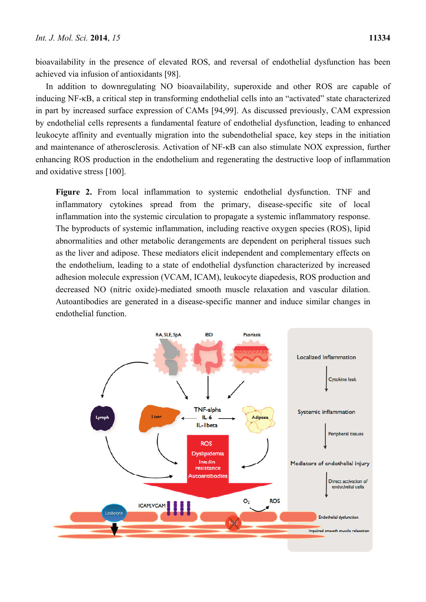bioavailability in the presence of elevated ROS, and reversal of endothelial dysfunction has been achieved via infusion of antioxidants [98].

In addition to downregulating NO bioavailability, superoxide and other ROS are capable of inducing NF-κB, a critical step in transforming endothelial cells into an "activated" state characterized in part by increased surface expression of CAMs [94,99]. As discussed previously, CAM expression by endothelial cells represents a fundamental feature of endothelial dysfunction, leading to enhanced leukocyte affinity and eventually migration into the subendothelial space, key steps in the initiation and maintenance of atherosclerosis. Activation of NF-κB can also stimulate NOX expression, further enhancing ROS production in the endothelium and regenerating the destructive loop of inflammation and oxidative stress [100].

**Figure 2.** From local inflammation to systemic endothelial dysfunction. TNF and inflammatory cytokines spread from the primary, disease-specific site of local inflammation into the systemic circulation to propagate a systemic inflammatory response. The byproducts of systemic inflammation, including reactive oxygen species (ROS), lipid abnormalities and other metabolic derangements are dependent on peripheral tissues such as the liver and adipose. These mediators elicit independent and complementary effects on the endothelium, leading to a state of endothelial dysfunction characterized by increased adhesion molecule expression (VCAM, ICAM), leukocyte diapedesis, ROS production and decreased NO (nitric oxide)-mediated smooth muscle relaxation and vascular dilation. Autoantibodies are generated in a disease-specific manner and induce similar changes in endothelial function.

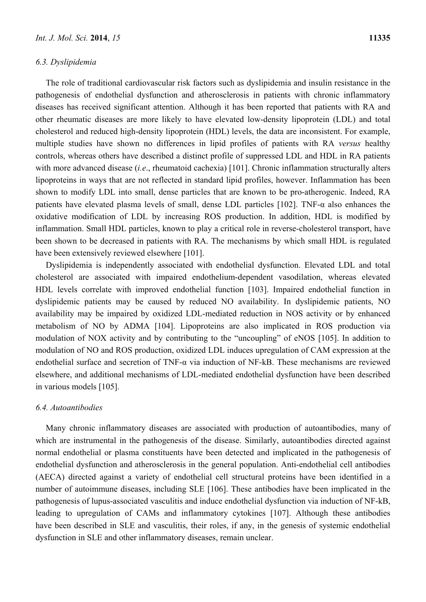## *6.3. Dyslipidemia*

The role of traditional cardiovascular risk factors such as dyslipidemia and insulin resistance in the pathogenesis of endothelial dysfunction and atherosclerosis in patients with chronic inflammatory diseases has received significant attention. Although it has been reported that patients with RA and other rheumatic diseases are more likely to have elevated low-density lipoprotein (LDL) and total cholesterol and reduced high-density lipoprotein (HDL) levels, the data are inconsistent. For example, multiple studies have shown no differences in lipid profiles of patients with RA *versus* healthy controls, whereas others have described a distinct profile of suppressed LDL and HDL in RA patients with more advanced disease *(i.e.*, rheumatoid cachexia) [101]. Chronic inflammation structurally alters lipoproteins in ways that are not reflected in standard lipid profiles, however. Inflammation has been shown to modify LDL into small, dense particles that are known to be pro-atherogenic. Indeed, RA patients have elevated plasma levels of small, dense LDL particles [102]. TNF-α also enhances the oxidative modification of LDL by increasing ROS production. In addition, HDL is modified by inflammation. Small HDL particles, known to play a critical role in reverse-cholesterol transport, have been shown to be decreased in patients with RA. The mechanisms by which small HDL is regulated have been extensively reviewed elsewhere [101].

Dyslipidemia is independently associated with endothelial dysfunction. Elevated LDL and total cholesterol are associated with impaired endothelium-dependent vasodilation, whereas elevated HDL levels correlate with improved endothelial function [103]. Impaired endothelial function in dyslipidemic patients may be caused by reduced NO availability. In dyslipidemic patients, NO availability may be impaired by oxidized LDL-mediated reduction in NOS activity or by enhanced metabolism of NO by ADMA [104]. Lipoproteins are also implicated in ROS production via modulation of NOX activity and by contributing to the "uncoupling" of eNOS [105]. In addition to modulation of NO and ROS production, oxidized LDL induces upregulation of CAM expression at the endothelial surface and secretion of TNF-α via induction of NF-kB. These mechanisms are reviewed elsewhere, and additional mechanisms of LDL-mediated endothelial dysfunction have been described in various models [105].

#### *6.4. Autoantibodies*

Many chronic inflammatory diseases are associated with production of autoantibodies, many of which are instrumental in the pathogenesis of the disease. Similarly, autoantibodies directed against normal endothelial or plasma constituents have been detected and implicated in the pathogenesis of endothelial dysfunction and atherosclerosis in the general population. Anti-endothelial cell antibodies (AECA) directed against a variety of endothelial cell structural proteins have been identified in a number of autoimmune diseases, including SLE [106]. These antibodies have been implicated in the pathogenesis of lupus-associated vasculitis and induce endothelial dysfunction via induction of NF-kB, leading to upregulation of CAMs and inflammatory cytokines [107]. Although these antibodies have been described in SLE and vasculitis, their roles, if any, in the genesis of systemic endothelial dysfunction in SLE and other inflammatory diseases, remain unclear.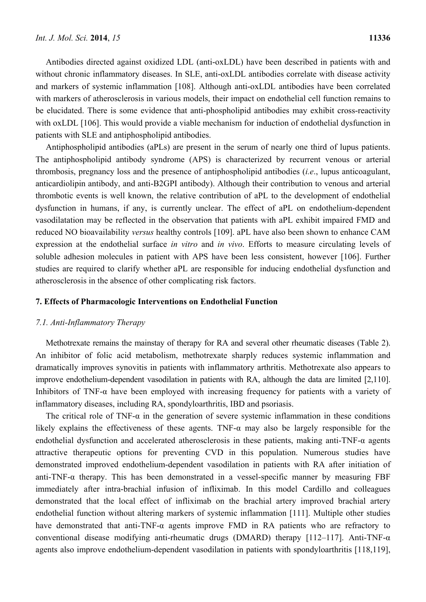Antibodies directed against oxidized LDL (anti-oxLDL) have been described in patients with and without chronic inflammatory diseases. In SLE, anti-oxLDL antibodies correlate with disease activity and markers of systemic inflammation [108]. Although anti-oxLDL antibodies have been correlated with markers of atherosclerosis in various models, their impact on endothelial cell function remains to be elucidated. There is some evidence that anti-phospholipid antibodies may exhibit cross-reactivity with oxLDL [106]. This would provide a viable mechanism for induction of endothelial dysfunction in patients with SLE and antiphospholipid antibodies.

Antiphospholipid antibodies (aPLs) are present in the serum of nearly one third of lupus patients. The antiphospholipid antibody syndrome (APS) is characterized by recurrent venous or arterial thrombosis, pregnancy loss and the presence of antiphospholipid antibodies (*i.e*., lupus anticoagulant, anticardiolipin antibody, and anti-B2GPI antibody). Although their contribution to venous and arterial thrombotic events is well known, the relative contribution of aPL to the development of endothelial dysfunction in humans, if any, is currently unclear. The effect of aPL on endothelium-dependent vasodilatation may be reflected in the observation that patients with aPL exhibit impaired FMD and reduced NO bioavailability *versus* healthy controls [109]. aPL have also been shown to enhance CAM expression at the endothelial surface *in vitro* and *in vivo*. Efforts to measure circulating levels of soluble adhesion molecules in patient with APS have been less consistent, however [106]. Further studies are required to clarify whether aPL are responsible for inducing endothelial dysfunction and atherosclerosis in the absence of other complicating risk factors.

## **7. Effects of Pharmacologic Interventions on Endothelial Function**

#### *7.1. Anti-Inflammatory Therapy*

Methotrexate remains the mainstay of therapy for RA and several other rheumatic diseases (Table 2). An inhibitor of folic acid metabolism, methotrexate sharply reduces systemic inflammation and dramatically improves synovitis in patients with inflammatory arthritis. Methotrexate also appears to improve endothelium-dependent vasodilation in patients with RA, although the data are limited [2,110]. Inhibitors of TNF- $\alpha$  have been employed with increasing frequency for patients with a variety of inflammatory diseases, including RA, spondyloarthritis, IBD and psoriasis.

The critical role of TNF- $\alpha$  in the generation of severe systemic inflammation in these conditions likely explains the effectiveness of these agents. TNF- $\alpha$  may also be largely responsible for the endothelial dysfunction and accelerated atherosclerosis in these patients, making anti-TNF-α agents attractive therapeutic options for preventing CVD in this population. Numerous studies have demonstrated improved endothelium-dependent vasodilation in patients with RA after initiation of anti-TNF-α therapy. This has been demonstrated in a vessel-specific manner by measuring FBF immediately after intra-brachial infusion of infliximab. In this model Cardillo and colleagues demonstrated that the local effect of infliximab on the brachial artery improved brachial artery endothelial function without altering markers of systemic inflammation [111]. Multiple other studies have demonstrated that anti-TNF-α agents improve FMD in RA patients who are refractory to conventional disease modifying anti-rheumatic drugs (DMARD) therapy [112–117]. Anti-TNF- $\alpha$ agents also improve endothelium-dependent vasodilation in patients with spondyloarthritis [118,119],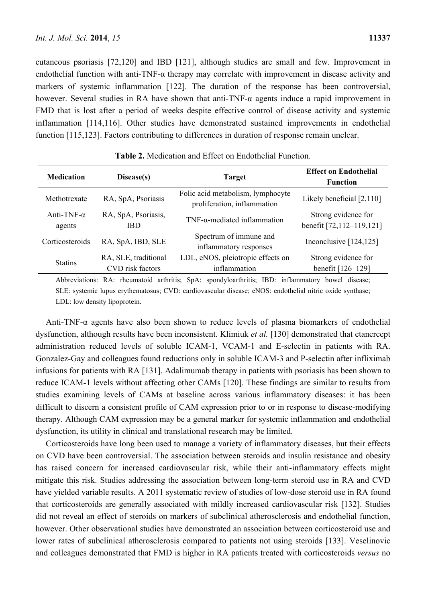cutaneous psoriasis [72,120] and IBD [121], although studies are small and few. Improvement in endothelial function with anti-TNF-α therapy may correlate with improvement in disease activity and markers of systemic inflammation [122]. The duration of the response has been controversial, however. Several studies in RA have shown that anti-TNF-α agents induce a rapid improvement in FMD that is lost after a period of weeks despite effective control of disease activity and systemic inflammation [114,116]. Other studies have demonstrated sustained improvements in endothelial function [115,123]. Factors contributing to differences in duration of response remain unclear.

| <b>Medication</b>            | Disease(s)                               | <b>Target</b>                                                    | <b>Effect on Endothelial</b><br><b>Function</b> |
|------------------------------|------------------------------------------|------------------------------------------------------------------|-------------------------------------------------|
| Methotrexate                 | RA, SpA, Psoriasis                       | Folic acid metabolism, lymphocyte<br>proliferation, inflammation | Likely beneficial [2,110]                       |
| Anti-TNF- $\alpha$<br>agents | RA, SpA, Psoriasis,<br><b>IBD</b>        | $TNF$ - $\alpha$ -mediated inflammation                          | Strong evidence for<br>benefit [72,112-119,121] |
| Corticosteroids              | RA, SpA, IBD, SLE                        | Spectrum of immune and<br>inflammatory responses                 | Inconclusive $[124, 125]$                       |
| <b>Statins</b>               | RA, SLE, traditional<br>CVD risk factors | LDL, eNOS, pleiotropic effects on<br>inflammation                | Strong evidence for<br>benefit [126-129]        |

| <b>Table 2.</b> Medication and Effect on Endothelial Function. |  |  |  |
|----------------------------------------------------------------|--|--|--|
|----------------------------------------------------------------|--|--|--|

Abbreviations: RA: rheumatoid arthritis; SpA: spondyloarthritis; IBD: inflammatory bowel disease; SLE: systemic lupus erythematosus; CVD: cardiovascular disease; eNOS: endothelial nitric oxide synthase; LDL: low density lipoprotein.

Anti-TNF-α agents have also been shown to reduce levels of plasma biomarkers of endothelial dysfunction, although results have been inconsistent. Klimiuk *et al.* [130] demonstrated that etanercept administration reduced levels of soluble ICAM-1, VCAM-1 and E-selectin in patients with RA. Gonzalez-Gay and colleagues found reductions only in soluble ICAM-3 and P-selectin after infliximab infusions for patients with RA [131]. Adalimumab therapy in patients with psoriasis has been shown to reduce ICAM-1 levels without affecting other CAMs [120]. These findings are similar to results from studies examining levels of CAMs at baseline across various inflammatory diseases: it has been difficult to discern a consistent profile of CAM expression prior to or in response to disease-modifying therapy. Although CAM expression may be a general marker for systemic inflammation and endothelial dysfunction, its utility in clinical and translational research may be limited.

Corticosteroids have long been used to manage a variety of inflammatory diseases, but their effects on CVD have been controversial. The association between steroids and insulin resistance and obesity has raised concern for increased cardiovascular risk, while their anti-inflammatory effects might mitigate this risk. Studies addressing the association between long-term steroid use in RA and CVD have yielded variable results. A 2011 systematic review of studies of low-dose steroid use in RA found that corticosteroids are generally associated with mildly increased cardiovascular risk [132]. Studies did not reveal an effect of steroids on markers of subclinical atherosclerosis and endothelial function, however. Other observational studies have demonstrated an association between corticosteroid use and lower rates of subclinical atherosclerosis compared to patients not using steroids [133]. Veselinovic and colleagues demonstrated that FMD is higher in RA patients treated with corticosteroids *versus* no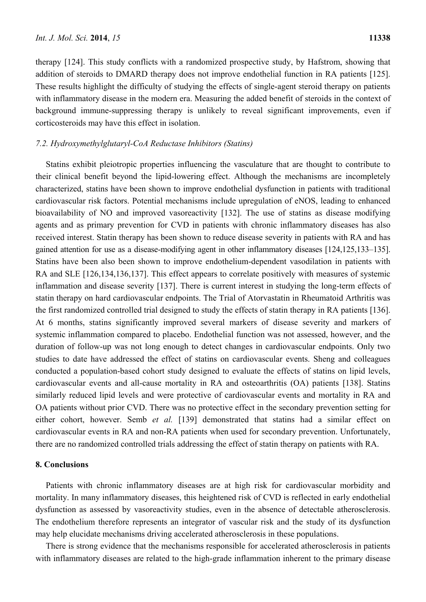therapy [124]. This study conflicts with a randomized prospective study, by Hafstrom, showing that addition of steroids to DMARD therapy does not improve endothelial function in RA patients [125]. These results highlight the difficulty of studying the effects of single-agent steroid therapy on patients with inflammatory disease in the modern era. Measuring the added benefit of steroids in the context of background immune-suppressing therapy is unlikely to reveal significant improvements, even if corticosteroids may have this effect in isolation.

### *7.2. Hydroxymethylglutaryl-CoA Reductase Inhibitors (Statins)*

Statins exhibit pleiotropic properties influencing the vasculature that are thought to contribute to their clinical benefit beyond the lipid-lowering effect. Although the mechanisms are incompletely characterized, statins have been shown to improve endothelial dysfunction in patients with traditional cardiovascular risk factors. Potential mechanisms include upregulation of eNOS, leading to enhanced bioavailability of NO and improved vasoreactivity [132]. The use of statins as disease modifying agents and as primary prevention for CVD in patients with chronic inflammatory diseases has also received interest. Statin therapy has been shown to reduce disease severity in patients with RA and has gained attention for use as a disease-modifying agent in other inflammatory diseases [124,125,133–135]. Statins have been also been shown to improve endothelium-dependent vasodilation in patients with RA and SLE [126,134,136,137]. This effect appears to correlate positively with measures of systemic inflammation and disease severity [137]. There is current interest in studying the long-term effects of statin therapy on hard cardiovascular endpoints. The Trial of Atorvastatin in Rheumatoid Arthritis was the first randomized controlled trial designed to study the effects of statin therapy in RA patients [136]. At 6 months, statins significantly improved several markers of disease severity and markers of systemic inflammation compared to placebo. Endothelial function was not assessed, however, and the duration of follow-up was not long enough to detect changes in cardiovascular endpoints. Only two studies to date have addressed the effect of statins on cardiovascular events. Sheng and colleagues conducted a population-based cohort study designed to evaluate the effects of statins on lipid levels, cardiovascular events and all-cause mortality in RA and osteoarthritis (OA) patients [138]. Statins similarly reduced lipid levels and were protective of cardiovascular events and mortality in RA and OA patients without prior CVD. There was no protective effect in the secondary prevention setting for either cohort, however. Semb *et al.* [139] demonstrated that statins had a similar effect on cardiovascular events in RA and non-RA patients when used for secondary prevention. Unfortunately, there are no randomized controlled trials addressing the effect of statin therapy on patients with RA.

## **8. Conclusions**

Patients with chronic inflammatory diseases are at high risk for cardiovascular morbidity and mortality. In many inflammatory diseases, this heightened risk of CVD is reflected in early endothelial dysfunction as assessed by vasoreactivity studies, even in the absence of detectable atherosclerosis. The endothelium therefore represents an integrator of vascular risk and the study of its dysfunction may help elucidate mechanisms driving accelerated atherosclerosis in these populations.

There is strong evidence that the mechanisms responsible for accelerated atherosclerosis in patients with inflammatory diseases are related to the high-grade inflammation inherent to the primary disease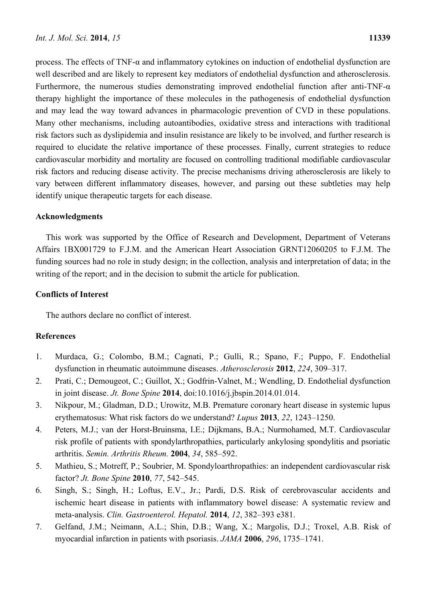process. The effects of TNF-α and inflammatory cytokines on induction of endothelial dysfunction are well described and are likely to represent key mediators of endothelial dysfunction and atherosclerosis. Furthermore, the numerous studies demonstrating improved endothelial function after anti-TNF- $\alpha$ therapy highlight the importance of these molecules in the pathogenesis of endothelial dysfunction and may lead the way toward advances in pharmacologic prevention of CVD in these populations. Many other mechanisms, including autoantibodies, oxidative stress and interactions with traditional risk factors such as dyslipidemia and insulin resistance are likely to be involved, and further research is required to elucidate the relative importance of these processes. Finally, current strategies to reduce cardiovascular morbidity and mortality are focused on controlling traditional modifiable cardiovascular risk factors and reducing disease activity. The precise mechanisms driving atherosclerosis are likely to vary between different inflammatory diseases, however, and parsing out these subtleties may help identify unique therapeutic targets for each disease.

## **Acknowledgments**

This work was supported by the Office of Research and Development, Department of Veterans Affairs 1BX001729 to F.J.M. and the American Heart Association GRNT12060205 to F.J.M. The funding sources had no role in study design; in the collection, analysis and interpretation of data; in the writing of the report; and in the decision to submit the article for publication.

# **Conflicts of Interest**

The authors declare no conflict of interest.

## **References**

- 1. Murdaca, G.; Colombo, B.M.; Cagnati, P.; Gulli, R.; Spano, F.; Puppo, F. Endothelial dysfunction in rheumatic autoimmune diseases. *Atherosclerosis* **2012**, *224*, 309–317.
- 2. Prati, C.; Demougeot, C.; Guillot, X.; Godfrin-Valnet, M.; Wendling, D. Endothelial dysfunction in joint disease. *Jt. Bone Spine* **2014**, doi:10.1016/j.jbspin.2014.01.014.
- 3. Nikpour, M.; Gladman, D.D.; Urowitz, M.B. Premature coronary heart disease in systemic lupus erythematosus: What risk factors do we understand? *Lupus* **2013**, *22*, 1243–1250.
- 4. Peters, M.J.; van der Horst-Bruinsma, I.E.; Dijkmans, B.A.; Nurmohamed, M.T. Cardiovascular risk profile of patients with spondylarthropathies, particularly ankylosing spondylitis and psoriatic arthritis. *Semin. Arthritis Rheum.* **2004**, *34*, 585–592.
- 5. Mathieu, S.; Motreff, P.; Soubrier, M. Spondyloarthropathies: an independent cardiovascular risk factor? *Jt. Bone Spine* **2010**, *77*, 542–545.
- 6. Singh, S.; Singh, H.; Loftus, E.V., Jr.; Pardi, D.S. Risk of cerebrovascular accidents and ischemic heart disease in patients with inflammatory bowel disease: A systematic review and meta-analysis. *Clin. Gastroenterol. Hepatol.* **2014**, *12*, 382–393 e381.
- 7. Gelfand, J.M.; Neimann, A.L.; Shin, D.B.; Wang, X.; Margolis, D.J.; Troxel, A.B. Risk of myocardial infarction in patients with psoriasis. *JAMA* **2006**, *296*, 1735–1741.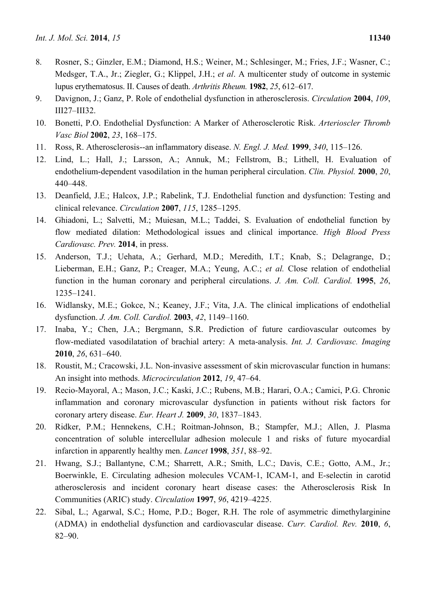- 8. Rosner, S.; Ginzler, E.M.; Diamond, H.S.; Weiner, M.; Schlesinger, M.; Fries, J.F.; Wasner, C.; Medsger, T.A., Jr.; Ziegler, G.; Klippel, J.H.; *et al*. A multicenter study of outcome in systemic lupus erythematosus. II. Causes of death. *Arthritis Rheum.* **1982**, *25*, 612–617.
- 9. Davignon, J.; Ganz, P. Role of endothelial dysfunction in atherosclerosis. *Circulation* **2004**, *109*, III27–III32.
- 10. Bonetti, P.O. Endothelial Dysfunction: A Marker of Atherosclerotic Risk. *Arterioscler Thromb Vasc Biol* **2002**, *23*, 168–175.
- 11. Ross, R. Atherosclerosis--an inflammatory disease. *N. Engl. J. Med.* **1999**, *340*, 115–126.
- 12. Lind, L.; Hall, J.; Larsson, A.; Annuk, M.; Fellstrom, B.; Lithell, H. Evaluation of endothelium-dependent vasodilation in the human peripheral circulation. *Clin. Physiol.* **2000**, *20*, 440–448.
- 13. Deanfield, J.E.; Halcox, J.P.; Rabelink, T.J. Endothelial function and dysfunction: Testing and clinical relevance. *Circulation* **2007**, *115*, 1285–1295.
- 14. Ghiadoni, L.; Salvetti, M.; Muiesan, M.L.; Taddei, S. Evaluation of endothelial function by flow mediated dilation: Methodological issues and clinical importance. *High Blood Press Cardiovasc. Prev.* **2014**, in press.
- 15. Anderson, T.J.; Uehata, A.; Gerhard, M.D.; Meredith, I.T.; Knab, S.; Delagrange, D.; Lieberman, E.H.; Ganz, P.; Creager, M.A.; Yeung, A.C.; *et al.* Close relation of endothelial function in the human coronary and peripheral circulations. *J. Am. Coll. Cardiol.* **1995**, *26*, 1235–1241.
- 16. Widlansky, M.E.; Gokce, N.; Keaney, J.F.; Vita, J.A. The clinical implications of endothelial dysfunction. *J. Am. Coll. Cardiol.* **2003**, *42*, 1149–1160.
- 17. Inaba, Y.; Chen, J.A.; Bergmann, S.R. Prediction of future cardiovascular outcomes by flow-mediated vasodilatation of brachial artery: A meta-analysis. *Int. J. Cardiovasc. Imaging*  **2010**, *26*, 631–640.
- 18. Roustit, M.; Cracowski, J.L. Non-invasive assessment of skin microvascular function in humans: An insight into methods. *Microcirculation* **2012**, *19*, 47–64.
- 19. Recio-Mayoral, A.; Mason, J.C.; Kaski, J.C.; Rubens, M.B.; Harari, O.A.; Camici, P.G. Chronic inflammation and coronary microvascular dysfunction in patients without risk factors for coronary artery disease. *Eur. Heart J.* **2009**, *30*, 1837–1843.
- 20. Ridker, P.M.; Hennekens, C.H.; Roitman-Johnson, B.; Stampfer, M.J.; Allen, J. Plasma concentration of soluble intercellular adhesion molecule 1 and risks of future myocardial infarction in apparently healthy men. *Lancet* **1998**, *351*, 88–92.
- 21. Hwang, S.J.; Ballantyne, C.M.; Sharrett, A.R.; Smith, L.C.; Davis, C.E.; Gotto, A.M., Jr.; Boerwinkle, E. Circulating adhesion molecules VCAM-1, ICAM-1, and E-selectin in carotid atherosclerosis and incident coronary heart disease cases: the Atherosclerosis Risk In Communities (ARIC) study. *Circulation* **1997**, *96*, 4219–4225.
- 22. Sibal, L.; Agarwal, S.C.; Home, P.D.; Boger, R.H. The role of asymmetric dimethylarginine (ADMA) in endothelial dysfunction and cardiovascular disease. *Curr. Cardiol. Rev.* **2010**, *6*, 82–90.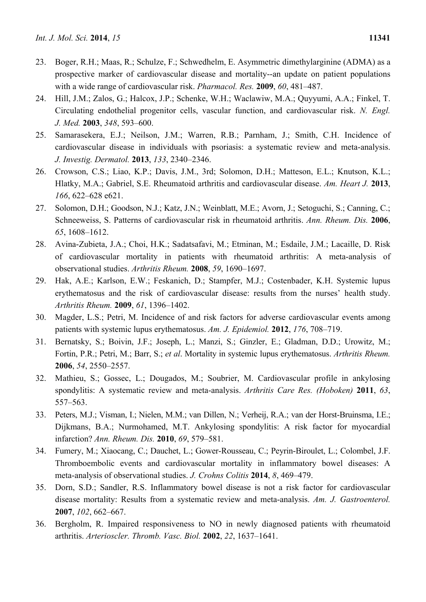- 23. Boger, R.H.; Maas, R.; Schulze, F.; Schwedhelm, E. Asymmetric dimethylarginine (ADMA) as a prospective marker of cardiovascular disease and mortality--an update on patient populations with a wide range of cardiovascular risk. *Pharmacol. Res.* **2009**, *60*, 481–487.
- 24. Hill, J.M.; Zalos, G.; Halcox, J.P.; Schenke, W.H.; Waclawiw, M.A.; Quyyumi, A.A.; Finkel, T. Circulating endothelial progenitor cells, vascular function, and cardiovascular risk. *N. Engl. J. Med.* **2003**, *348*, 593–600.
- 25. Samarasekera, E.J.; Neilson, J.M.; Warren, R.B.; Parnham, J.; Smith, C.H. Incidence of cardiovascular disease in individuals with psoriasis: a systematic review and meta-analysis. *J. Investig. Dermatol.* **2013**, *133*, 2340–2346.
- 26. Crowson, C.S.; Liao, K.P.; Davis, J.M., 3rd; Solomon, D.H.; Matteson, E.L.; Knutson, K.L.; Hlatky, M.A.; Gabriel, S.E. Rheumatoid arthritis and cardiovascular disease. *Am. Heart J.* **2013**, *166*, 622–628 e621.
- 27. Solomon, D.H.; Goodson, N.J.; Katz, J.N.; Weinblatt, M.E.; Avorn, J.; Setoguchi, S.; Canning, C.; Schneeweiss, S. Patterns of cardiovascular risk in rheumatoid arthritis. *Ann. Rheum. Dis.* **2006**, *65*, 1608–1612.
- 28. Avina-Zubieta, J.A.; Choi, H.K.; Sadatsafavi, M.; Etminan, M.; Esdaile, J.M.; Lacaille, D. Risk of cardiovascular mortality in patients with rheumatoid arthritis: A meta-analysis of observational studies. *Arthritis Rheum.* **2008**, *59*, 1690–1697.
- 29. Hak, A.E.; Karlson, E.W.; Feskanich, D.; Stampfer, M.J.; Costenbader, K.H. Systemic lupus erythematosus and the risk of cardiovascular disease: results from the nurses' health study. *Arthritis Rheum.* **2009**, *61*, 1396–1402.
- 30. Magder, L.S.; Petri, M. Incidence of and risk factors for adverse cardiovascular events among patients with systemic lupus erythematosus. *Am. J. Epidemiol.* **2012**, *176*, 708–719.
- 31. Bernatsky, S.; Boivin, J.F.; Joseph, L.; Manzi, S.; Ginzler, E.; Gladman, D.D.; Urowitz, M.; Fortin, P.R.; Petri, M.; Barr, S.; *et al*. Mortality in systemic lupus erythematosus. *Arthritis Rheum.*  **2006**, *54*, 2550–2557.
- 32. Mathieu, S.; Gossec, L.; Dougados, M.; Soubrier, M. Cardiovascular profile in ankylosing spondylitis: A systematic review and meta-analysis. *Arthritis Care Res. (Hoboken)* **2011**, *63*, 557–563.
- 33. Peters, M.J.; Visman, I.; Nielen, M.M.; van Dillen, N.; Verheij, R.A.; van der Horst-Bruinsma, I.E.; Dijkmans, B.A.; Nurmohamed, M.T. Ankylosing spondylitis: A risk factor for myocardial infarction? *Ann. Rheum. Dis.* **2010**, *69*, 579–581.
- 34. Fumery, M.; Xiaocang, C.; Dauchet, L.; Gower-Rousseau, C.; Peyrin-Biroulet, L.; Colombel, J.F. Thromboembolic events and cardiovascular mortality in inflammatory bowel diseases: A meta-analysis of observational studies. *J. Crohns Colitis* **2014**, *8*, 469–479.
- 35. Dorn, S.D.; Sandler, R.S. Inflammatory bowel disease is not a risk factor for cardiovascular disease mortality: Results from a systematic review and meta-analysis. *Am. J. Gastroenterol.*  **2007**, *102*, 662–667.
- 36. Bergholm, R. Impaired responsiveness to NO in newly diagnosed patients with rheumatoid arthritis. *Arterioscler. Thromb. Vasc. Biol.* **2002**, *22*, 1637–1641.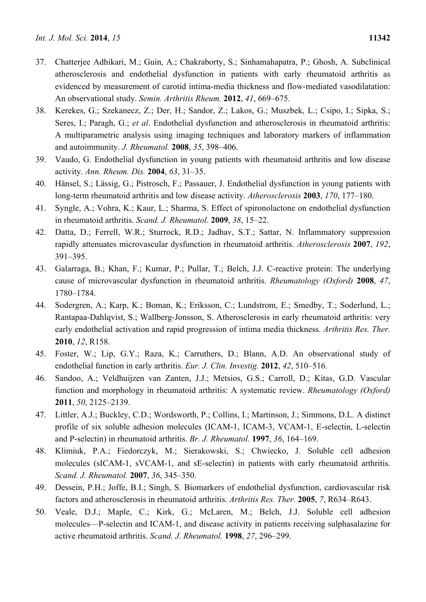- 37. Chatterjee Adhikari, M.; Guin, A.; Chakraborty, S.; Sinhamahapatra, P.; Ghosh, A. Subclinical atherosclerosis and endothelial dysfunction in patients with early rheumatoid arthritis as evidenced by measurement of carotid intima-media thickness and flow-mediated vasodilatation: An observational study. *Semin. Arthritis Rheum.* **2012**, *41*, 669–675.
- 38. Kerekes, G.; Szekanecz, Z.; Der, H.; Sandor, Z.; Lakos, G.; Muszbek, L.; Csipo, I.; Sipka, S.; Seres, I.; Paragh, G.; *et al*. Endothelial dysfunction and atherosclerosis in rheumatoid arthritis: A multiparametric analysis using imaging techniques and laboratory markers of inflammation and autoimmunity. *J. Rheumatol.* **2008**, *35*, 398–406.
- 39. Vaudo, G. Endothelial dysfunction in young patients with rheumatoid arthritis and low disease activity. *Ann. Rheum. Dis.* **2004**, *63*, 31–35.
- 40. Hänsel, S.; Lässig, G.; Pistrosch, F.; Passauer, J. Endothelial dysfunction in young patients with long-term rheumatoid arthritis and low disease activity. *Atherosclerosis* **2003**, *170*, 177–180.
- 41. Syngle, A.; Vohra, K.; Kaur, L.; Sharma, S. Effect of spironolactone on endothelial dysfunction in rheumatoid arthritis. *Scand. J. Rheumatol.* **2009**, *38*, 15–22.
- 42. Datta, D.; Ferrell, W.R.; Sturrock, R.D.; Jadhav, S.T.; Sattar, N. Inflammatory suppression rapidly attenuates microvascular dysfunction in rheumatoid arthritis. *Atherosclerosis* **2007**, *192*, 391–395.
- 43. Galarraga, B.; Khan, F.; Kumar, P.; Pullar, T.; Belch, J.J. C-reactive protein: The underlying cause of microvascular dysfunction in rheumatoid arthritis. *Rheumatology (Oxford)* **2008**, *47*, 1780–1784.
- 44. Sodergren, A.; Karp, K.; Boman, K.; Eriksson, C.; Lundstrom, E.; Smedby, T.; Soderlund, L.; Rantapaa-Dahlqvist, S.; Wallberg-Jonsson, S. Atherosclerosis in early rheumatoid arthritis: very early endothelial activation and rapid progression of intima media thickness. *Arthritis Res. Ther.*  **2010**, *12*, R158.
- 45. Foster, W.; Lip, G.Y.; Raza, K.; Carruthers, D.; Blann, A.D. An observational study of endothelial function in early arthritis. *Eur. J. Clin. Investig.* **2012**, *42*, 510–516.
- 46. Sandoo, A.; Veldhuijzen van Zanten, J.J.; Metsios, G.S.; Carroll, D.; Kitas, G.D. Vascular function and morphology in rheumatoid arthritis: A systematic review. *Rheumatology (Oxford)*  **2011**, *50*, 2125–2139.
- 47. Littler, A.J.; Buckley, C.D.; Wordsworth, P.; Collins, I.; Martinson, J.; Simmons, D.L. A distinct profile of six soluble adhesion molecules (ICAM-1, ICAM-3, VCAM-1, E-selectin, L-selectin and P-selectin) in rheumatoid arthritis. *Br. J. Rheumatol.* **1997**, *36*, 164–169.
- 48. Klimiuk, P.A.; Fiedorczyk, M.; Sierakowski, S.; Chwiecko, J. Soluble cell adhesion molecules (sICAM-1, sVCAM-1, and sE-selectin) in patients with early rheumatoid arthritis. *Scand. J. Rheumatol.* **2007**, *36*, 345–350.
- 49. Dessein, P.H.; Joffe, B.I.; Singh, S. Biomarkers of endothelial dysfunction, cardiovascular risk factors and atherosclerosis in rheumatoid arthritis. *Arthritis Res. Ther.* **2005**, *7*, R634–R643.
- 50. Veale, D.J.; Maple, C.; Kirk, G.; McLaren, M.; Belch, J.J. Soluble cell adhesion molecules—P-selectin and ICAM-1, and disease activity in patients receiving sulphasalazine for active rheumatoid arthritis. *Scand. J. Rheumatol.* **1998**, *27*, 296–299.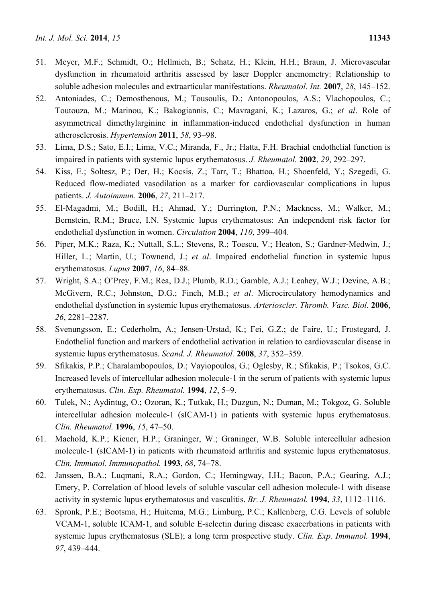- 51. Meyer, M.F.; Schmidt, O.; Hellmich, B.; Schatz, H.; Klein, H.H.; Braun, J. Microvascular dysfunction in rheumatoid arthritis assessed by laser Doppler anemometry: Relationship to soluble adhesion molecules and extraarticular manifestations. *Rheumatol. Int.* **2007**, *28*, 145–152.
- 52. Antoniades, C.; Demosthenous, M.; Tousoulis, D.; Antonopoulos, A.S.; Vlachopoulos, C.; Toutouza, M.; Marinou, K.; Bakogiannis, C.; Mavragani, K.; Lazaros, G.; *et al*. Role of asymmetrical dimethylarginine in inflammation-induced endothelial dysfunction in human atherosclerosis. *Hypertension* **2011**, *58*, 93–98.
- 53. Lima, D.S.; Sato, E.I.; Lima, V.C.; Miranda, F., Jr.; Hatta, F.H. Brachial endothelial function is impaired in patients with systemic lupus erythematosus. *J. Rheumatol.* **2002**, *29*, 292–297.
- 54. Kiss, E.; Soltesz, P.; Der, H.; Kocsis, Z.; Tarr, T.; Bhattoa, H.; Shoenfeld, Y.; Szegedi, G. Reduced flow-mediated vasodilation as a marker for cardiovascular complications in lupus patients. *J. Autoimmun.* **2006**, *27*, 211–217.
- 55. El-Magadmi, M.; Bodill, H.; Ahmad, Y.; Durrington, P.N.; Mackness, M.; Walker, M.; Bernstein, R.M.; Bruce, I.N. Systemic lupus erythematosus: An independent risk factor for endothelial dysfunction in women. *Circulation* **2004**, *110*, 399–404.
- 56. Piper, M.K.; Raza, K.; Nuttall, S.L.; Stevens, R.; Toescu, V.; Heaton, S.; Gardner-Medwin, J.; Hiller, L.; Martin, U.; Townend, J.; *et al*. Impaired endothelial function in systemic lupus erythematosus. *Lupus* **2007**, *16*, 84–88.
- 57. Wright, S.A.; O'Prey, F.M.; Rea, D.J.; Plumb, R.D.; Gamble, A.J.; Leahey, W.J.; Devine, A.B.; McGivern, R.C.; Johnston, D.G.; Finch, M.B.; *et al*. Microcirculatory hemodynamics and endothelial dysfunction in systemic lupus erythematosus. *Arterioscler. Thromb. Vasc. Biol.* **2006**, *26*, 2281–2287.
- 58. Svenungsson, E.; Cederholm, A.; Jensen-Urstad, K.; Fei, G.Z.; de Faire, U.; Frostegard, J. Endothelial function and markers of endothelial activation in relation to cardiovascular disease in systemic lupus erythematosus. *Scand. J. Rheumatol.* **2008**, *37*, 352–359.
- 59. Sfikakis, P.P.; Charalambopoulos, D.; Vayiopoulos, G.; Oglesby, R.; Sfikakis, P.; Tsokos, G.C. Increased levels of intercellular adhesion molecule-1 in the serum of patients with systemic lupus erythematosus. *Clin. Exp. Rheumatol.* **1994**, *12*, 5–9.
- 60. Tulek, N.; Aydintug, O.; Ozoran, K.; Tutkak, H.; Duzgun, N.; Duman, M.; Tokgoz, G. Soluble intercellular adhesion molecule-1 (sICAM-1) in patients with systemic lupus erythematosus. *Clin. Rheumatol.* **1996**, *15*, 47–50.
- 61. Machold, K.P.; Kiener, H.P.; Graninger, W.; Graninger, W.B. Soluble intercellular adhesion molecule-1 (sICAM-1) in patients with rheumatoid arthritis and systemic lupus erythematosus. *Clin. Immunol. Immunopathol.* **1993**, *68*, 74–78.
- 62. Janssen, B.A.; Luqmani, R.A.; Gordon, C.; Hemingway, I.H.; Bacon, P.A.; Gearing, A.J.; Emery, P. Correlation of blood levels of soluble vascular cell adhesion molecule-1 with disease activity in systemic lupus erythematosus and vasculitis. *Br. J. Rheumatol.* **1994**, *33*, 1112–1116.
- 63. Spronk, P.E.; Bootsma, H.; Huitema, M.G.; Limburg, P.C.; Kallenberg, C.G. Levels of soluble VCAM-1, soluble ICAM-1, and soluble E-selectin during disease exacerbations in patients with systemic lupus erythematosus (SLE); a long term prospective study. *Clin. Exp. Immunol.* **1994**, *97*, 439–444.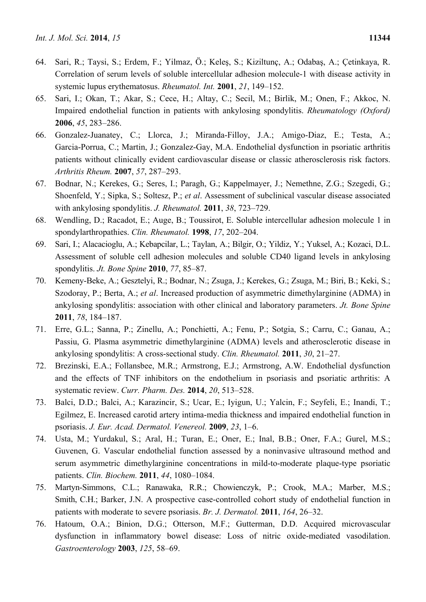- 64. Sari, R.; Taysi, S.; Erdem, F.; Yilmaz, Ö.; Keleş, S.; Kiziltunç, A.; Odabaş, A.; Çetinkaya, R. Correlation of serum levels of soluble intercellular adhesion molecule-1 with disease activity in systemic lupus erythematosus. *Rheumatol. Int.* **2001**, *21*, 149–152.
- 65. Sari, I.; Okan, T.; Akar, S.; Cece, H.; Altay, C.; Secil, M.; Birlik, M.; Onen, F.; Akkoc, N. Impaired endothelial function in patients with ankylosing spondylitis. *Rheumatology (Oxford)*  **2006**, *45*, 283–286.
- 66. Gonzalez-Juanatey, C.; Llorca, J.; Miranda-Filloy, J.A.; Amigo-Diaz, E.; Testa, A.; Garcia-Porrua, C.; Martin, J.; Gonzalez-Gay, M.A. Endothelial dysfunction in psoriatic arthritis patients without clinically evident cardiovascular disease or classic atherosclerosis risk factors. *Arthritis Rheum.* **2007**, *57*, 287–293.
- 67. Bodnar, N.; Kerekes, G.; Seres, I.; Paragh, G.; Kappelmayer, J.; Nemethne, Z.G.; Szegedi, G.; Shoenfeld, Y.; Sipka, S.; Soltesz, P.; *et al*. Assessment of subclinical vascular disease associated with ankylosing spondylitis. *J. Rheumatol.* **2011**, *38*, 723–729.
- 68. Wendling, D.; Racadot, E.; Auge, B.; Toussirot, E. Soluble intercellular adhesion molecule 1 in spondylarthropathies. *Clin. Rheumatol.* **1998**, *17*, 202–204.
- 69. Sari, I.; Alacacioglu, A.; Kebapcilar, L.; Taylan, A.; Bilgir, O.; Yildiz, Y.; Yuksel, A.; Kozaci, D.L. Assessment of soluble cell adhesion molecules and soluble CD40 ligand levels in ankylosing spondylitis. *Jt. Bone Spine* **2010**, *77*, 85–87.
- 70. Kemeny-Beke, A.; Gesztelyi, R.; Bodnar, N.; Zsuga, J.; Kerekes, G.; Zsuga, M.; Biri, B.; Keki, S.; Szodoray, P.; Berta, A.; *et al*. Increased production of asymmetric dimethylarginine (ADMA) in ankylosing spondylitis: association with other clinical and laboratory parameters. *Jt. Bone Spine*  **2011**, *78*, 184–187.
- 71. Erre, G.L.; Sanna, P.; Zinellu, A.; Ponchietti, A.; Fenu, P.; Sotgia, S.; Carru, C.; Ganau, A.; Passiu, G. Plasma asymmetric dimethylarginine (ADMA) levels and atherosclerotic disease in ankylosing spondylitis: A cross-sectional study. *Clin. Rheumatol.* **2011**, *30*, 21–27.
- 72. Brezinski, E.A.; Follansbee, M.R.; Armstrong, E.J.; Armstrong, A.W. Endothelial dysfunction and the effects of TNF inhibitors on the endothelium in psoriasis and psoriatic arthritis: A systematic review. *Curr. Pharm. Des.* **2014**, *20*, 513–528.
- 73. Balci, D.D.; Balci, A.; Karazincir, S.; Ucar, E.; Iyigun, U.; Yalcin, F.; Seyfeli, E.; Inandi, T.; Egilmez, E. Increased carotid artery intima-media thickness and impaired endothelial function in psoriasis. *J. Eur. Acad. Dermatol. Venereol.* **2009**, *23*, 1–6.
- 74. Usta, M.; Yurdakul, S.; Aral, H.; Turan, E.; Oner, E.; Inal, B.B.; Oner, F.A.; Gurel, M.S.; Guvenen, G. Vascular endothelial function assessed by a noninvasive ultrasound method and serum asymmetric dimethylarginine concentrations in mild-to-moderate plaque-type psoriatic patients. *Clin. Biochem.* **2011**, *44*, 1080–1084.
- 75. Martyn-Simmons, C.L.; Ranawaka, R.R.; Chowienczyk, P.; Crook, M.A.; Marber, M.S.; Smith, C.H.; Barker, J.N. A prospective case-controlled cohort study of endothelial function in patients with moderate to severe psoriasis. *Br. J. Dermatol.* **2011**, *164*, 26–32.
- 76. Hatoum, O.A.; Binion, D.G.; Otterson, M.F.; Gutterman, D.D. Acquired microvascular dysfunction in inflammatory bowel disease: Loss of nitric oxide-mediated vasodilation. *Gastroenterology* **2003**, *125*, 58–69.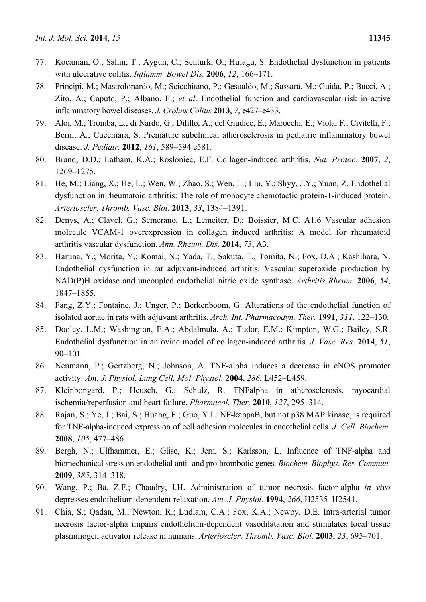- 77. Kocaman, O.; Sahin, T.; Aygun, C.; Senturk, O.; Hulagu, S. Endothelial dysfunction in patients with ulcerative colitis. *Inflamm. Bowel Dis.* **2006**, *12*, 166–171.
- 78. Principi, M.; Mastrolonardo, M.; Scicchitano, P.; Gesualdo, M.; Sassara, M.; Guida, P.; Bucci, A.; Zito, A.; Caputo, P.; Albano, F.; *et al*. Endothelial function and cardiovascular risk in active inflammatory bowel diseases. *J. Crohns Colitis* **2013**, *7*, e427–e433.
- 79. Aloi, M.; Tromba, L.; di Nardo, G.; Dilillo, A.; del Giudice, E.; Marocchi, E.; Viola, F.; Civitelli, F.; Berni, A.; Cucchiara, S. Premature subclinical atherosclerosis in pediatric inflammatory bowel disease. *J. Pediatr.* **2012**, *161*, 589–594 e581.
- 80. Brand, D.D.; Latham, K.A.; Rosloniec, E.F. Collagen-induced arthritis. *Nat. Protoc.* **2007**, *2*, 1269–1275.
- 81. He, M.; Liang, X.; He, L.; Wen, W.; Zhao, S.; Wen, L.; Liu, Y.; Shyy, J.Y.; Yuan, Z. Endothelial dysfunction in rheumatoid arthritis: The role of monocyte chemotactic protein-1-induced protein. *Arterioscler. Thromb. Vasc. Biol.* **2013**, *33*, 1384–1391.
- 82. Denys, A.; Clavel, G.; Semerano, L.; Lemeiter, D.; Boissier, M.C. A1.6 Vascular adhesion molecule VCAM-1 overexpression in collagen induced arthritis: A model for rheumatoid arthritis vascular dysfunction. *Ann. Rheum. Dis.* **2014**, *73*, A3.
- 83. Haruna, Y.; Morita, Y.; Komai, N.; Yada, T.; Sakuta, T.; Tomita, N.; Fox, D.A.; Kashihara, N. Endothelial dysfunction in rat adjuvant-induced arthritis: Vascular superoxide production by NAD(P)H oxidase and uncoupled endothelial nitric oxide synthase. *Arthritis Rheum.* **2006**, *54*, 1847–1855.
- 84. Fang, Z.Y.; Fontaine, J.; Unger, P.; Berkenboom, G. Alterations of the endothelial function of isolated aortae in rats with adjuvant arthritis. *Arch. Int. Pharmacodyn. Ther.* **1991**, *311*, 122–130.
- 85. Dooley, L.M.; Washington, E.A.; Abdalmula, A.; Tudor, E.M.; Kimpton, W.G.; Bailey, S.R. Endothelial dysfunction in an ovine model of collagen-induced arthritis. *J. Vasc. Res.* **2014**, *51*, 90–101.
- 86. Neumann, P.; Gertzberg, N.; Johnson, A. TNF-alpha induces a decrease in eNOS promoter activity. *Am. J. Physiol. Lung Cell. Mol. Physiol.* **2004**, *286*, L452–L459.
- 87. Kleinbongard, P.; Heusch, G.; Schulz, R. TNFalpha in atherosclerosis, myocardial ischemia/reperfusion and heart failure. *Pharmacol. Ther.* **2010**, *127*, 295–314.
- 88. Rajan, S.; Ye, J.; Bai, S.; Huang, F.; Guo, Y.L. NF-kappaB, but not p38 MAP kinase, is required for TNF-alpha-induced expression of cell adhesion molecules in endothelial cells. *J. Cell. Biochem.*  **2008**, *105*, 477–486.
- 89. Bergh, N.; Ulfhammer, E.; Glise, K.; Jern, S.; Karlsson, L. Influence of TNF-alpha and biomechanical stress on endothelial anti- and prothrombotic genes. *Biochem. Biophys. Res. Commun.*  **2009**, *385*, 314–318.
- 90. Wang, P.; Ba, Z.F.; Chaudry, I.H. Administration of tumor necrosis factor-alpha *in vivo* depresses endothelium-dependent relaxation. *Am. J. Physiol.* **1994**, *266*, H2535–H2541.
- 91. Chia, S.; Qadan, M.; Newton, R.; Ludlam, C.A.; Fox, K.A.; Newby, D.E. Intra-arterial tumor necrosis factor-alpha impairs endothelium-dependent vasodilatation and stimulates local tissue plasminogen activator release in humans. *Arterioscler. Thromb. Vasc. Biol.* **2003**, *23*, 695–701.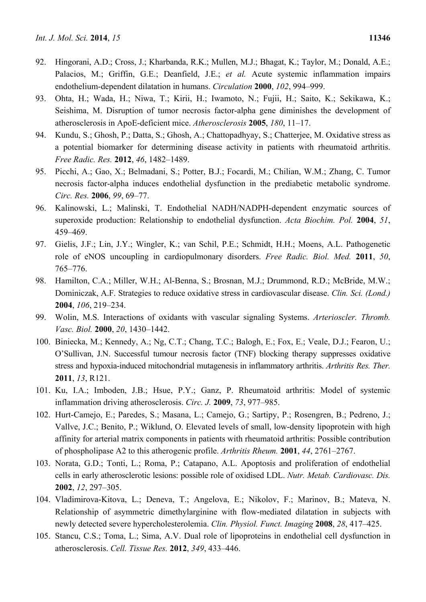- 92. Hingorani, A.D.; Cross, J.; Kharbanda, R.K.; Mullen, M.J.; Bhagat, K.; Taylor, M.; Donald, A.E.; Palacios, M.; Griffin, G.E.; Deanfield, J.E.; *et al.* Acute systemic inflammation impairs endothelium-dependent dilatation in humans. *Circulation* **2000**, *102*, 994–999.
- 93. Ohta, H.; Wada, H.; Niwa, T.; Kirii, H.; Iwamoto, N.; Fujii, H.; Saito, K.; Sekikawa, K.; Seishima, M. Disruption of tumor necrosis factor-alpha gene diminishes the development of atherosclerosis in ApoE-deficient mice. *Atherosclerosis* **2005**, *180*, 11–17.
- 94. Kundu, S.; Ghosh, P.; Datta, S.; Ghosh, A.; Chattopadhyay, S.; Chatterjee, M. Oxidative stress as a potential biomarker for determining disease activity in patients with rheumatoid arthritis. *Free Radic. Res.* **2012**, *46*, 1482–1489.
- 95. Picchi, A.; Gao, X.; Belmadani, S.; Potter, B.J.; Focardi, M.; Chilian, W.M.; Zhang, C. Tumor necrosis factor-alpha induces endothelial dysfunction in the prediabetic metabolic syndrome. *Circ. Res.* **2006**, *99*, 69–77.
- 96. Kalinowski, L.; Malinski, T. Endothelial NADH/NADPH-dependent enzymatic sources of superoxide production: Relationship to endothelial dysfunction. *Acta Biochim. Pol.* **2004**, *51*, 459–469.
- 97. Gielis, J.F.; Lin, J.Y.; Wingler, K.; van Schil, P.E.; Schmidt, H.H.; Moens, A.L. Pathogenetic role of eNOS uncoupling in cardiopulmonary disorders. *Free Radic. Biol. Med.* **2011**, *50*, 765–776.
- 98. Hamilton, C.A.; Miller, W.H.; Al-Benna, S.; Brosnan, M.J.; Drummond, R.D.; McBride, M.W.; Dominiczak, A.F. Strategies to reduce oxidative stress in cardiovascular disease. *Clin. Sci. (Lond.)*  **2004**, *106*, 219–234.
- 99. Wolin, M.S. Interactions of oxidants with vascular signaling Systems. *Arterioscler. Thromb. Vasc. Biol.* **2000**, *20*, 1430–1442.
- 100. Biniecka, M.; Kennedy, A.; Ng, C.T.; Chang, T.C.; Balogh, E.; Fox, E.; Veale, D.J.; Fearon, U.; O'Sullivan, J.N. Successful tumour necrosis factor (TNF) blocking therapy suppresses oxidative stress and hypoxia-induced mitochondrial mutagenesis in inflammatory arthritis. *Arthritis Res. Ther.*  **2011**, *13*, R121.
- 101. Ku, I.A.; Imboden, J.B.; Hsue, P.Y.; Ganz, P. Rheumatoid arthritis: Model of systemic inflammation driving atherosclerosis. *Circ. J.* **2009**, *73*, 977–985.
- 102. Hurt-Camejo, E.; Paredes, S.; Masana, L.; Camejo, G.; Sartipy, P.; Rosengren, B.; Pedreno, J.; Vallve, J.C.; Benito, P.; Wiklund, O. Elevated levels of small, low-density lipoprotein with high affinity for arterial matrix components in patients with rheumatoid arthritis: Possible contribution of phospholipase A2 to this atherogenic profile. *Arthritis Rheum.* **2001**, *44*, 2761–2767.
- 103. Norata, G.D.; Tonti, L.; Roma, P.; Catapano, A.L. Apoptosis and proliferation of endothelial cells in early atherosclerotic lesions: possible role of oxidised LDL. *Nutr. Metab. Cardiovasc. Dis.*  **2002**, *12*, 297–305.
- 104. Vladimirova-Kitova, L.; Deneva, T.; Angelova, E.; Nikolov, F.; Marinov, B.; Mateva, N. Relationship of asymmetric dimethylarginine with flow-mediated dilatation in subjects with newly detected severe hypercholesterolemia. *Clin. Physiol. Funct. Imaging* **2008**, *28*, 417–425.
- 105. Stancu, C.S.; Toma, L.; Sima, A.V. Dual role of lipoproteins in endothelial cell dysfunction in atherosclerosis. *Cell. Tissue Res.* **2012**, *349*, 433–446.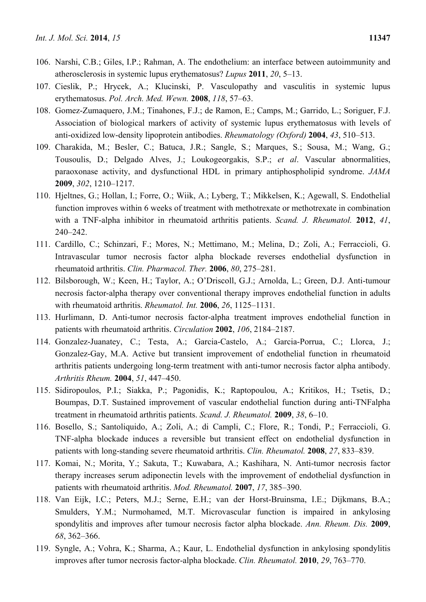- 106. Narshi, C.B.; Giles, I.P.; Rahman, A. The endothelium: an interface between autoimmunity and atherosclerosis in systemic lupus erythematosus? *Lupus* **2011**, *20*, 5–13.
- 107. Cieslik, P.; Hrycek, A.; Klucinski, P. Vasculopathy and vasculitis in systemic lupus erythematosus. *Pol. Arch. Med. Wewn.* **2008**, *118*, 57–63.
- 108. Gomez-Zumaquero, J.M.; Tinahones, F.J.; de Ramon, E.; Camps, M.; Garrido, L.; Soriguer, F.J. Association of biological markers of activity of systemic lupus erythematosus with levels of anti-oxidized low-density lipoprotein antibodies. *Rheumatology (Oxford)* **2004**, *43*, 510–513.
- 109. Charakida, M.; Besler, C.; Batuca, J.R.; Sangle, S.; Marques, S.; Sousa, M.; Wang, G.; Tousoulis, D.; Delgado Alves, J.; Loukogeorgakis, S.P.; *et al*. Vascular abnormalities, paraoxonase activity, and dysfunctional HDL in primary antiphospholipid syndrome. *JAMA*  **2009**, *302*, 1210–1217.
- 110. Hjeltnes, G.; Hollan, I.; Forre, O.; Wiik, A.; Lyberg, T.; Mikkelsen, K.; Agewall, S. Endothelial function improves within 6 weeks of treatment with methotrexate or methotrexate in combination with a TNF-alpha inhibitor in rheumatoid arthritis patients. *Scand. J. Rheumatol.* **2012**, *41*, 240–242.
- 111. Cardillo, C.; Schinzari, F.; Mores, N.; Mettimano, M.; Melina, D.; Zoli, A.; Ferraccioli, G. Intravascular tumor necrosis factor alpha blockade reverses endothelial dysfunction in rheumatoid arthritis. *Clin. Pharmacol. Ther.* **2006**, *80*, 275–281.
- 112. Bilsborough, W.; Keen, H.; Taylor, A.; O'Driscoll, G.J.; Arnolda, L.; Green, D.J. Anti-tumour necrosis factor-alpha therapy over conventional therapy improves endothelial function in adults with rheumatoid arthritis. *Rheumatol. Int.* **2006**, *26*, 1125–1131.
- 113. Hurlimann, D. Anti-tumor necrosis factor-alpha treatment improves endothelial function in patients with rheumatoid arthritis. *Circulation* **2002**, *106*, 2184–2187.
- 114. Gonzalez-Juanatey, C.; Testa, A.; Garcia-Castelo, A.; Garcia-Porrua, C.; Llorca, J.; Gonzalez-Gay, M.A. Active but transient improvement of endothelial function in rheumatoid arthritis patients undergoing long-term treatment with anti-tumor necrosis factor alpha antibody. *Arthritis Rheum.* **2004**, *51*, 447–450.
- 115. Sidiropoulos, P.I.; Siakka, P.; Pagonidis, K.; Raptopoulou, A.; Kritikos, H.; Tsetis, D.; Boumpas, D.T. Sustained improvement of vascular endothelial function during anti-TNFalpha treatment in rheumatoid arthritis patients. *Scand. J. Rheumatol.* **2009**, *38*, 6–10.
- 116. Bosello, S.; Santoliquido, A.; Zoli, A.; di Campli, C.; Flore, R.; Tondi, P.; Ferraccioli, G. TNF-alpha blockade induces a reversible but transient effect on endothelial dysfunction in patients with long-standing severe rheumatoid arthritis. *Clin. Rheumatol.* **2008**, *27*, 833–839.
- 117. Komai, N.; Morita, Y.; Sakuta, T.; Kuwabara, A.; Kashihara, N. Anti-tumor necrosis factor therapy increases serum adiponectin levels with the improvement of endothelial dysfunction in patients with rheumatoid arthritis. *Mod. Rheumatol.* **2007**, *17*, 385–390.
- 118. Van Eijk, I.C.; Peters, M.J.; Serne, E.H.; van der Horst-Bruinsma, I.E.; Dijkmans, B.A.; Smulders, Y.M.; Nurmohamed, M.T. Microvascular function is impaired in ankylosing spondylitis and improves after tumour necrosis factor alpha blockade. *Ann. Rheum. Dis.* **2009**, *68*, 362–366.
- 119. Syngle, A.; Vohra, K.; Sharma, A.; Kaur, L. Endothelial dysfunction in ankylosing spondylitis improves after tumor necrosis factor-alpha blockade. *Clin. Rheumatol.* **2010**, *29*, 763–770.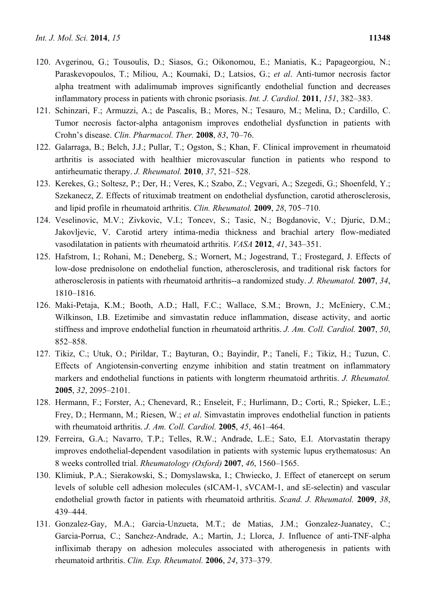- 120. Avgerinou, G.; Tousoulis, D.; Siasos, G.; Oikonomou, E.; Maniatis, K.; Papageorgiou, N.; Paraskevopoulos, T.; Miliou, A.; Koumaki, D.; Latsios, G.; *et al*. Anti-tumor necrosis factor alpha treatment with adalimumab improves significantly endothelial function and decreases inflammatory process in patients with chronic psoriasis. *Int. J. Cardiol.* **2011**, *151*, 382–383.
- 121. Schinzari, F.; Armuzzi, A.; de Pascalis, B.; Mores, N.; Tesauro, M.; Melina, D.; Cardillo, C. Tumor necrosis factor-alpha antagonism improves endothelial dysfunction in patients with Crohn's disease. *Clin. Pharmacol. Ther.* **2008**, *83*, 70–76.
- 122. Galarraga, B.; Belch, J.J.; Pullar, T.; Ogston, S.; Khan, F. Clinical improvement in rheumatoid arthritis is associated with healthier microvascular function in patients who respond to antirheumatic therapy. *J. Rheumatol.* **2010**, *37*, 521–528.
- 123. Kerekes, G.; Soltesz, P.; Der, H.; Veres, K.; Szabo, Z.; Vegvari, A.; Szegedi, G.; Shoenfeld, Y.; Szekanecz, Z. Effects of rituximab treatment on endothelial dysfunction, carotid atherosclerosis, and lipid profile in rheumatoid arthritis. *Clin. Rheumatol.* **2009**, *28*, 705–710.
- 124. Veselinovic, M.V.; Zivkovic, V.I.; Toncev, S.; Tasic, N.; Bogdanovic, V.; Djuric, D.M.; Jakovljevic, V. Carotid artery intima-media thickness and brachial artery flow-mediated vasodilatation in patients with rheumatoid arthritis. *VASA* **2012**, *41*, 343–351.
- 125. Hafstrom, I.; Rohani, M.; Deneberg, S.; Wornert, M.; Jogestrand, T.; Frostegard, J. Effects of low-dose prednisolone on endothelial function, atherosclerosis, and traditional risk factors for atherosclerosis in patients with rheumatoid arthritis--a randomized study. *J. Rheumatol.* **2007**, *34*, 1810–1816.
- 126. Maki-Petaja, K.M.; Booth, A.D.; Hall, F.C.; Wallace, S.M.; Brown, J.; McEniery, C.M.; Wilkinson, I.B. Ezetimibe and simvastatin reduce inflammation, disease activity, and aortic stiffness and improve endothelial function in rheumatoid arthritis. *J. Am. Coll. Cardiol.* **2007**, *50*, 852–858.
- 127. Tikiz, C.; Utuk, O.; Pirildar, T.; Bayturan, O.; Bayindir, P.; Taneli, F.; Tikiz, H.; Tuzun, C. Effects of Angiotensin-converting enzyme inhibition and statin treatment on inflammatory markers and endothelial functions in patients with longterm rheumatoid arthritis. *J. Rheumatol.*  **2005**, *32*, 2095–2101.
- 128. Hermann, F.; Forster, A.; Chenevard, R.; Enseleit, F.; Hurlimann, D.; Corti, R.; Spieker, L.E.; Frey, D.; Hermann, M.; Riesen, W.; *et al*. Simvastatin improves endothelial function in patients with rheumatoid arthritis. *J. Am. Coll. Cardiol.* **2005**, *45*, 461–464.
- 129. Ferreira, G.A.; Navarro, T.P.; Telles, R.W.; Andrade, L.E.; Sato, E.I. Atorvastatin therapy improves endothelial-dependent vasodilation in patients with systemic lupus erythematosus: An 8 weeks controlled trial. *Rheumatology (Oxford)* **2007**, *46*, 1560–1565.
- 130. Klimiuk, P.A.; Sierakowski, S.; Domyslawska, I.; Chwiecko, J. Effect of etanercept on serum levels of soluble cell adhesion molecules (sICAM-1, sVCAM-1, and sE-selectin) and vascular endothelial growth factor in patients with rheumatoid arthritis. *Scand. J. Rheumatol.* **2009**, *38*, 439–444.
- 131. Gonzalez-Gay, M.A.; Garcia-Unzueta, M.T.; de Matias, J.M.; Gonzalez-Juanatey, C.; Garcia-Porrua, C.; Sanchez-Andrade, A.; Martin, J.; Llorca, J. Influence of anti-TNF-alpha infliximab therapy on adhesion molecules associated with atherogenesis in patients with rheumatoid arthritis. *Clin. Exp. Rheumatol.* **2006**, *24*, 373–379.